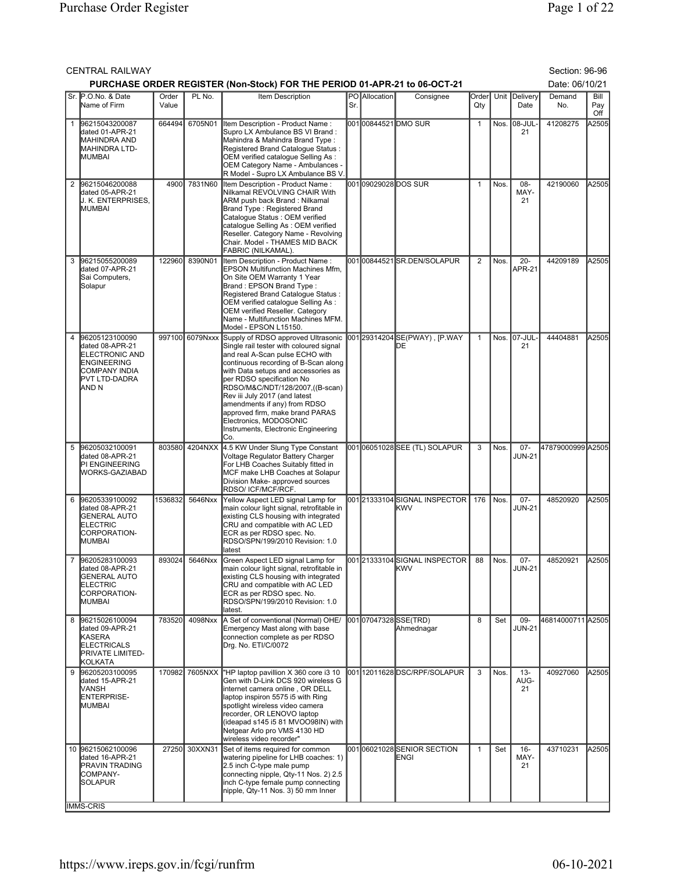|   | Section: 96-96<br><b>CENTRAL RAILWAY</b><br>PURCHASE ORDER REGISTER (Non-Stock) FOR THE PERIOD 01-APR-21 to 06-OCT-21<br>Date: 06/10/21 |                |                 |                                                                                                                                                                                                                                                                                                                                                                                                                                             |     |                             |                                                |                |        |                         |                   |                    |  |
|---|-----------------------------------------------------------------------------------------------------------------------------------------|----------------|-----------------|---------------------------------------------------------------------------------------------------------------------------------------------------------------------------------------------------------------------------------------------------------------------------------------------------------------------------------------------------------------------------------------------------------------------------------------------|-----|-----------------------------|------------------------------------------------|----------------|--------|-------------------------|-------------------|--------------------|--|
|   |                                                                                                                                         |                |                 |                                                                                                                                                                                                                                                                                                                                                                                                                                             |     |                             |                                                |                |        |                         |                   |                    |  |
|   | Sr. P.O.No. & Date<br>Name of Firm                                                                                                      | Order<br>Value | PL No.          | Item Description                                                                                                                                                                                                                                                                                                                                                                                                                            | Sr. | PO Allocation               | Consignee                                      | Order<br>Qty   |        | Unit Delivery<br>Date   | Demand<br>No.     | Bill<br>Pay<br>Off |  |
| 1 | 96215043200087<br>dated 01-APR-21<br><b>MAHINDRA AND</b><br>MAHINDRA LTD-<br><b>I</b> MUMBAI                                            | 664494         | 6705N01         | Item Description - Product Name:<br>Supro LX Ambulance BS VI Brand:<br>Mahindra & Mahindra Brand Type:<br>Registered Brand Catalogue Status:<br>OEM verified catalogue Selling As :<br>OEM Category Name - Ambulances -<br>R Model - Supro LX Ambulance BS V                                                                                                                                                                                |     |                             | 00100844521DMO SUR                             | $\mathbf{1}$   |        | Nos. 08-JUL-<br>21      | 41208275          | A2505              |  |
|   | 2 96215046200088<br>dated 05-APR-21<br><b>J. K. ENTERPRISES.</b><br><b>MUMBAI</b>                                                       | 4900l          | 7831N60         | Item Description - Product Name:<br>Nilkamal REVOLVING CHAIR With<br>ARM push back Brand: Nilkamal<br>Brand Type : Registered Brand<br>Catalogue Status : OEM verified<br>catalogue Selling As: OEM verified<br>Reseller. Category Name - Revolving<br>Chair. Model - THAMES MID BACK<br>FABRIC (NILKAMAL).                                                                                                                                 |     | 001 <b>0</b> 9029028DOS SUR |                                                | $\mathbf{1}$   | Nos.   | 08-<br>MAY-<br>21       | 42190060          | A2505              |  |
| 3 | 96215055200089<br>dated 07-APR-21<br>Sai Computers,<br>Solapur                                                                          | 122960         | 8390N01         | Item Description - Product Name:<br><b>EPSON Multifunction Machines Mfm,</b><br>On Site OEM Warranty 1 Year<br>Brand: EPSON Brand Type:<br>Registered Brand Catalogue Status:<br>OEM verified catalogue Selling As :<br>OEM verified Reseller. Category<br>Name - Multifunction Machines MFM.<br>Model - EPSON L15150.                                                                                                                      |     |                             | 00100844521SR.DEN/SOLAPUR                      | $\overline{2}$ | Nos.   | $20 -$<br><b>APR-21</b> | 44209189          | A2505              |  |
| 4 | 96205123100090<br>dated 08-APR-21<br><b>ELECTRONIC AND</b><br><b>ENGINEERING</b><br>COMPANY INDIA<br><b>PVT LTD-DADRA</b><br>iand N     |                | 997100 6079Nxxx | Supply of RDSO approved Ultrasonic<br>Single rail tester with coloured signal<br>and real A-Scan pulse ECHO with<br>continuous recording of B-Scan along<br>with Data setups and accessories as<br>per RDSO specification No<br>RDSO/M&C/NDT/128/2007,((B-scan)<br>Rev iii July 2017 (and latest<br>amendments if any) from RDSO<br>approved firm, make brand PARAS<br>Electronics, MODOSONIC<br>Instruments, Electronic Engineering<br>Co. |     |                             | 001 29314204 SE(PWAY), [P.WAY<br>DЕ            | $\mathbf{1}$   |        | Nos. 07-JUL<br>21       | 44404881          | A2505              |  |
| 5 | 96205032100091<br>dated 08-APR-21<br>PI ENGINEERING<br><b>WORKS-GAZIABAD</b>                                                            | 803580         | 4204NXX         | 4.5 KW Under Slung Type Constant<br>Voltage Regulator Battery Charger<br>For LHB Coaches Suitably fitted in<br>MCF make LHB Coaches at Solapur<br>Division Make- approved sources<br>RDSO/ ICF/MCF/RCF.                                                                                                                                                                                                                                     |     |                             | 00106051028SEE (TL) SOLAPUR                    | 3              | Nos.   | $07 -$<br><b>JUN-21</b> | 47879000999 A2505 |                    |  |
|   | 6 96205339100092<br>dated 08-APR-21<br><b>GENERAL AUTO</b><br><b>ELECTRIC</b><br>CORPORATION-<br>MUMBAI                                 | 1536832        | 5646Nxx         | Yellow Aspect LED signal Lamp for<br>main colour light signal, retrofitable in<br>existing CLS housing with integrated<br>CRU and compatible with AC LED<br>ECR as per RDSO spec. No.<br>RDSO/SPN/199/2010 Revision: 1.0<br>latest                                                                                                                                                                                                          |     |                             | 001 21333104 SIGNAL INSPECTOR<br>lKWV          | 176            | Nos.   | $07 -$<br><b>JUN-21</b> | 48520920          | A2505              |  |
|   | 96205283100093<br>dated 08-APR-21<br><b>GENERAL AUTO</b><br><b>ELECTRIC</b><br>CORPORATION-<br>MUMBAI                                   |                |                 | 893024 5646Nxx Green Aspect LED signal Lamp for<br>main colour light signal, retrofitable in<br>existing CLS housing with integrated<br>CRU and compatible with AC LED<br>ECR as per RDSO spec. No.<br>RDSO/SPN/199/2010 Revision: 1.0<br>latest.                                                                                                                                                                                           |     |                             | 001 21333104 SIGNAL INSPECTOR 88<br><b>KWV</b> |                | I Nos. | $07 -$<br><b>JUN-21</b> | 48520921          | <b>IA2505</b>      |  |
|   | 8 96215026100094<br>dated 09-APR-21<br>KASERA<br><b>ELECTRICALS</b><br><b>PRIVATE LIMITED-</b><br>KOLKATA                               | 783520         | 4098Nxx         | A Set of conventional (Normal) OHE/<br>Emergency Mast along with base<br>connection complete as per RDSO<br>Drg. No. ETI/C/0072                                                                                                                                                                                                                                                                                                             |     |                             | 00107047328SSE(TRD)<br>Ahmednagar              | 8              | Set    | 09-<br><b>JUN-21</b>    | 46814000711 A2505 |                    |  |
| 9 | 96205203100095<br>dated 15-APR-21<br><b>VANSH</b><br>ENTERPRISE-<br><b>MUMBAI</b>                                                       |                | 170982 7605NXX  | "HP laptop pavillion X 360 core i3 10<br>Gen with D-Link DCS 920 wireless G<br>internet camera online, OR DELL<br>laptop inspiron 5575 i5 with Ring<br>spotlight wireless video camera<br>recorder, OR LENOVO laptop<br>(ideapad s145 i5 81 MVOO98IN) with<br>Netgear Arlo pro VMS 4130 HD<br>wireless video recorder"                                                                                                                      |     |                             | 00112011628DSC/RPF/SOLAPUR                     | 3              | Nos.   | $13 -$<br>AUG-<br>21    | 40927060          | A2505              |  |
|   | 10 96215062100096<br>dated 16-APR-21<br><b>PRAVIN TRADING</b><br>COMPANY-<br><b>SOLAPUR</b><br><b>IMMS-CRIS</b>                         |                | 27250 30XXN31   | Set of items required for common<br>watering pipeline for LHB coaches: 1)<br>2.5 inch C-type male pump<br>connecting nipple, Qty-11 Nos. 2) 2.5<br>inch C-type female pump connecting<br>nipple, Qty-11 Nos. 3) 50 mm Inner                                                                                                                                                                                                                 |     |                             | 00106021028SENIOR SECTION<br>ENGI              | $\mathbf{1}$   | Set    | $16 -$<br>MAY-<br>21    | 43710231          | A2505              |  |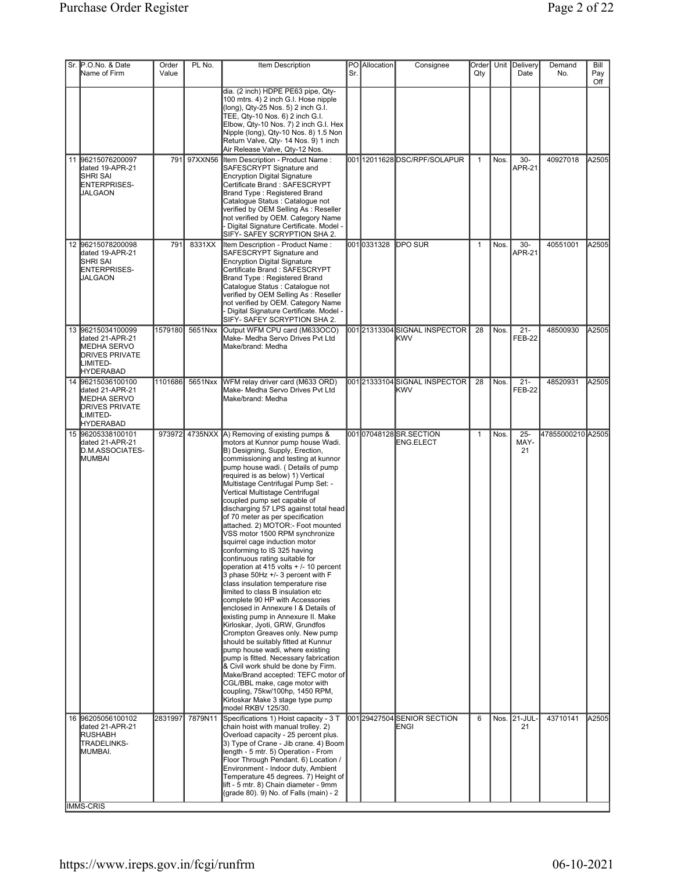| Sr. P.O.No. & Date<br>Name of Firm                                                                                    | Order<br>Value  | PL No.      | Item Description                                                                                                                                                                                                                                                                                                                                                                                                                                                                                                                                                                                                                                                                                                                                                                                                                                                                                                                                                                                                                                                                                                                                                                                                                                                                    | Sr. | PO Allocation | Consignee                                    | Order<br>Qty |      | Unit Delivery<br>Date   | Demand<br>No.     | Bill<br>Pay<br>Off |
|-----------------------------------------------------------------------------------------------------------------------|-----------------|-------------|-------------------------------------------------------------------------------------------------------------------------------------------------------------------------------------------------------------------------------------------------------------------------------------------------------------------------------------------------------------------------------------------------------------------------------------------------------------------------------------------------------------------------------------------------------------------------------------------------------------------------------------------------------------------------------------------------------------------------------------------------------------------------------------------------------------------------------------------------------------------------------------------------------------------------------------------------------------------------------------------------------------------------------------------------------------------------------------------------------------------------------------------------------------------------------------------------------------------------------------------------------------------------------------|-----|---------------|----------------------------------------------|--------------|------|-------------------------|-------------------|--------------------|
|                                                                                                                       |                 |             | dia. (2 inch) HDPE PE63 pipe, Qty-<br>100 mtrs. 4) 2 inch G.I. Hose nipple<br>(long), Qty-25 Nos. 5) 2 inch G.I.<br>TEE, Qty-10 Nos. 6) 2 inch G.I.<br>Elbow, Qty-10 Nos. 7) 2 inch G.I. Hex<br>Nipple (long), Qty-10 Nos. 8) 1.5 Non<br>Return Valve, Qty- 14 Nos. 9) 1 inch<br>Air Release Valve, Qty-12 Nos.                                                                                                                                                                                                                                                                                                                                                                                                                                                                                                                                                                                                                                                                                                                                                                                                                                                                                                                                                                     |     |               |                                              |              |      |                         |                   |                    |
| 11 96215076200097<br>dated 19-APR-21<br>ISHRI SAI<br>ENTERPRISES-<br><b>JALGAON</b>                                   |                 | 791 97XXN56 | Item Description - Product Name:<br>SAFESCRYPT Signature and<br><b>Encryption Digital Signature</b><br>Certificate Brand: SAFESCRYPT<br>Brand Type: Registered Brand<br>Catalogue Status : Catalogue not<br>verified by OEM Selling As: Reseller<br>not verified by OEM. Category Name<br>- Digital Signature Certificate. Model -<br>SIFY- SAFEY SCRYPTION SHA 2.                                                                                                                                                                                                                                                                                                                                                                                                                                                                                                                                                                                                                                                                                                                                                                                                                                                                                                                  |     |               | 00112011628DSC/RPF/SOLAPUR                   | $\mathbf{1}$ | Nos. | $30-$<br><b>APR-21</b>  | 40927018          | A2505              |
| 12 96215078200098<br>dated 19-APR-21<br><b>SHRI SAI</b><br>ENTERPRISES-<br>JALGAON                                    | 79 <sup>4</sup> | 8331XX      | Item Description - Product Name:<br>SAFESCRYPT Signature and<br><b>Encryption Digital Signature</b><br>Certificate Brand: SAFESCRYPT<br>Brand Type: Registered Brand<br>Catalogue Status : Catalogue not<br>verified by OEM Selling As: Reseller<br>not verified by OEM. Category Name<br>Digital Signature Certificate. Model -<br>SIFY- SAFEY SCRYPTION SHA 2.                                                                                                                                                                                                                                                                                                                                                                                                                                                                                                                                                                                                                                                                                                                                                                                                                                                                                                                    |     | 0010331328    | <b>DPO SUR</b>                               | $\mathbf{1}$ | Nos. | $30-$<br><b>APR-21</b>  | 40551001          | A2505              |
| 13 96215034100099<br>dated 21-APR-21<br><b>IMEDHA SERVO</b><br><b>IDRIVES PRIVATE</b><br>LIMITED-<br><b>HYDERABAD</b> | 1579180         | 5651Nxx     | Output WFM CPU card (M633OCO)<br>Make- Medha Servo Drives Pvt Ltd<br>Make/brand: Medha                                                                                                                                                                                                                                                                                                                                                                                                                                                                                                                                                                                                                                                                                                                                                                                                                                                                                                                                                                                                                                                                                                                                                                                              |     |               | 001 21313304 SIGNAL INSPECTOR<br><b>IKWV</b> | 28           | Nos. | $21 -$<br><b>FEB-22</b> | 48500930          | A2505              |
| 14 96215036100100<br>dated 21-APR-21<br>MEDHA SERVO<br><b>DRIVES PRIVATE</b><br>LIMITED-<br><b>HYDERABAD</b>          | 1101686         | 5651Nxx     | WFM relay driver card (M633 ORD)<br>Make- Medha Servo Drives Pvt Ltd<br>Make/brand: Medha                                                                                                                                                                                                                                                                                                                                                                                                                                                                                                                                                                                                                                                                                                                                                                                                                                                                                                                                                                                                                                                                                                                                                                                           |     |               | 00121333104SIGNAL INSPECTOR<br><b>IKWV</b>   | 28           | Nos. | $21 -$<br><b>FEB-22</b> | 48520931          | A2505              |
| 15 96205338100101<br>dated 21-APR-21<br>D.M.ASSOCIATES-<br><b>IMUMBAI</b>                                             |                 |             | 973972 4735NXX (A) Removing of existing pumps &<br>motors at Kunnor pump house Wadi.<br>B) Designing, Supply, Erection,<br>commissioning and testing at kunnor<br>pump house wadi. (Details of pump<br>required is as below) 1) Vertical<br>Multistage Centrifugal Pump Set: -<br>Vertical Multistage Centrifugal<br>coupled pump set capable of<br>discharging 57 LPS against total head<br>of 70 meter as per specification<br>attached. 2) MOTOR:- Foot mounted<br>VSS motor 1500 RPM synchronize<br>squirrel cage induction motor<br>conforming to IS 325 having<br>continuous rating suitable for<br>operation at 415 volts + /- 10 percent<br>3 phase 50Hz +/- 3 percent with F<br>class insulation temperature rise<br>limited to class B insulation etc<br>complete 90 HP with Accessories<br>enclosed in Annexure I & Details of<br>existing pump in Annexure II. Make<br>Kirloskar, Jyoti, GRW, Grundfos<br>Crompton Greaves only. New pump<br>should be suitably fitted at Kunnur<br>pump house wadi, where existing<br>pump is fitted. Necessary fabrication<br>& Civil work shuld be done by Firm.<br>Make/Brand accepted: TEFC motor of<br>CGL/BBL make, cage motor with<br>coupling, 75kw/100hp, 1450 RPM,<br>Kirloskar Make 3 stage type pump<br>model RKBV 125/30. |     |               | 001 07048128 SR.SECTION<br>ENG.ELECT         | $\mathbf{1}$ | Nos. | $25 -$<br>MAY-<br>21    | 47855000210 A2505 |                    |
| 16 96205056100102<br>dated 21-APR-21<br><b>RUSHABH</b><br>TRADELINKS-<br>MUMBAI.                                      | 2831997         | 7879N11     | Specifications 1) Hoist capacity - 3 T<br>chain hoist with manual trolley. 2)<br>Overload capacity - 25 percent plus.<br>3) Type of Crane - Jib crane. 4) Boom<br>length - 5 mtr. 5) Operation - From<br>Floor Through Pendant. 6) Location /<br>Environment - Indoor duty, Ambient<br>Temperature 45 degrees. 7) Height of<br>lift - 5 mtr. 8) Chain diameter - 9mm<br>(grade 80). 9) No. of Falls (main) - 2                                                                                                                                                                                                                                                                                                                                                                                                                                                                                                                                                                                                                                                                                                                                                                                                                                                                      |     |               | 001 29427504 SENIOR SECTION<br><b>ENGI</b>   | 6            |      | Nos. 21-JUL<br>21       | 43710141          | A2505              |
| <b>IMMS-CRIS</b>                                                                                                      |                 |             |                                                                                                                                                                                                                                                                                                                                                                                                                                                                                                                                                                                                                                                                                                                                                                                                                                                                                                                                                                                                                                                                                                                                                                                                                                                                                     |     |               |                                              |              |      |                         |                   |                    |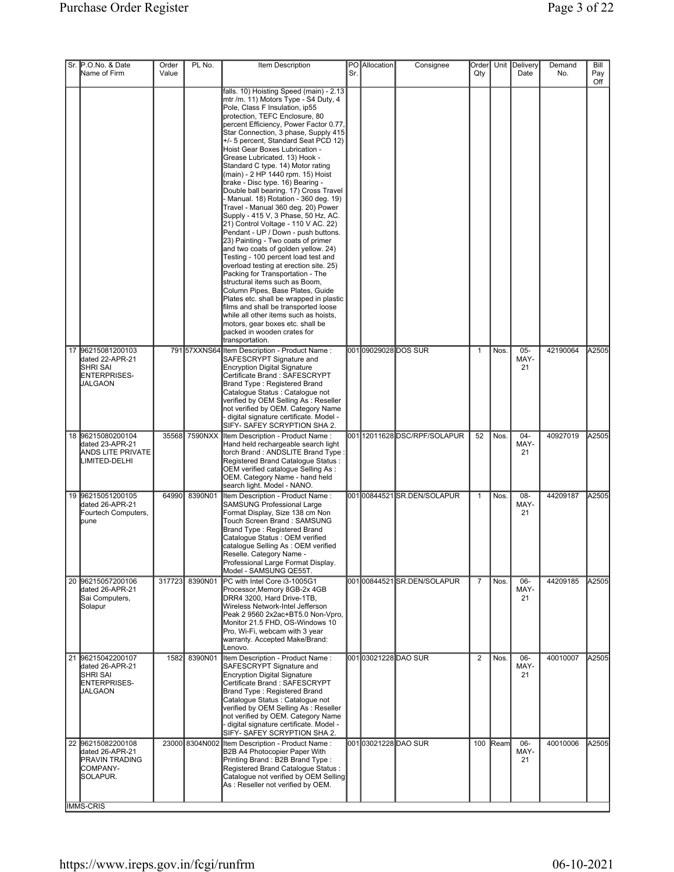| Sr. P.O.No. & Date<br>Name of Firm                                                        | Order<br>Value | PL No.         | Item Description                                                                                                                                                                                                                                                                                                                                                                                                                                                                                                                                                                                                                                                                                                                                                                                                                                                                                                                                                                                                                                                                                                                                                                                      | Sr. | <b>PO</b> Allocation | Consignee                  | Order<br>Qty   |          | Unit Delivery<br>Date | Demand<br>No. | Bill<br>Pay |
|-------------------------------------------------------------------------------------------|----------------|----------------|-------------------------------------------------------------------------------------------------------------------------------------------------------------------------------------------------------------------------------------------------------------------------------------------------------------------------------------------------------------------------------------------------------------------------------------------------------------------------------------------------------------------------------------------------------------------------------------------------------------------------------------------------------------------------------------------------------------------------------------------------------------------------------------------------------------------------------------------------------------------------------------------------------------------------------------------------------------------------------------------------------------------------------------------------------------------------------------------------------------------------------------------------------------------------------------------------------|-----|----------------------|----------------------------|----------------|----------|-----------------------|---------------|-------------|
|                                                                                           |                |                | falls. 10) Hoisting Speed (main) - 2.13<br>mtr /m. 11) Motors Type - S4 Duty, 4<br>Pole, Class F Insulation, ip55<br>protection, TEFC Enclosure, 80<br>percent Efficiency, Power Factor 0.77,<br>Star Connection, 3 phase, Supply 415<br>+/- 5 percent, Standard Seat PCD 12)<br>Hoist Gear Boxes Lubrication -<br>Grease Lubricated. 13) Hook -<br>Standard C type. 14) Motor rating<br>(main) - 2 HP 1440 rpm. 15) Hoist<br>brake - Disc type. 16) Bearing -<br>Double ball bearing. 17) Cross Travel<br>- Manual. 18) Rotation - 360 deg. 19)<br>Travel - Manual 360 deg. 20) Power<br>Supply - 415 V, 3 Phase, 50 Hz, AC.<br>21) Control Voltage - 110 V AC. 22)<br>Pendant - UP / Down - push buttons.<br>23) Painting - Two coats of primer<br>and two coats of golden yellow. 24)<br>Testing - 100 percent load test and<br>overload testing at erection site. 25)<br>Packing for Transportation - The<br>structural items such as Boom,<br>Column Pipes, Base Plates, Guide<br>Plates etc. shall be wrapped in plastic<br>films and shall be transported loose<br>while all other items such as hoists,<br>motors, gear boxes etc. shall be<br>packed in wooden crates for<br>transportation. |     |                      |                            |                |          |                       |               | Off         |
| 17 96215081200103<br>dated 22-APR-21<br><b>SHRI SAI</b><br>ENTERPRISES-<br><b>JALGAON</b> |                |                | 791 57XXNS64 Item Description - Product Name:<br>SAFESCRYPT Signature and<br><b>Encryption Digital Signature</b><br>Certificate Brand: SAFESCRYPT<br>Brand Type: Registered Brand<br>Catalogue Status : Catalogue not<br>verified by OEM Selling As : Reseller<br>not verified by OEM. Category Name<br>digital signature certificate. Model -<br>SIFY- SAFEY SCRYPTION SHA 2.                                                                                                                                                                                                                                                                                                                                                                                                                                                                                                                                                                                                                                                                                                                                                                                                                        |     |                      | 001 <b>09029028DOS</b> SUR | $\mathbf{1}$   | Nos.     | $05 -$<br>MAY-<br>21  | 42190064      | A2505       |
| 18 96215080200104<br>dated 23-APR-21<br><b>ANDS LITE PRIVATE</b><br>LIMITED-DELHI         |                | 35568 7590NXX  | Item Description - Product Name:<br>Hand held rechargeable search light<br>torch Brand: ANDSLITE Brand Type:<br>Registered Brand Catalogue Status:<br>OEM verified catalogue Selling As:<br>OEM. Category Name - hand held<br>search light. Model - NANO.                                                                                                                                                                                                                                                                                                                                                                                                                                                                                                                                                                                                                                                                                                                                                                                                                                                                                                                                             |     |                      | 00112011628DSC/RPF/SOLAPUR | 52             | Nos.     | 04-<br>MAY-<br>21     | 40927019      | A2505       |
| 19 96215051200105<br>dated 26-APR-21<br>Fourtech Computers,<br><b>pune</b>                | 64990          | 8390N01        | Item Description - Product Name:<br><b>SAMSUNG Professional Large</b><br>Format Display, Size 138 cm Non<br>Touch Screen Brand: SAMSUNG<br>Brand Type: Registered Brand<br>Cataloque Status : OEM verified<br>catalogue Selling As: OEM verified<br> Reselle. Category Name -<br>Professional Large Format Display.<br>Model - SAMSUNG QE55T.                                                                                                                                                                                                                                                                                                                                                                                                                                                                                                                                                                                                                                                                                                                                                                                                                                                         |     |                      | 00100844521SR.DEN/SOLAPUR  | $\mathbf{1}$   | Nos.     | 08-<br>MAY-<br>21     | 44209187      | A2505       |
| 20 96215057200106<br>dated 26-APR-21<br>Sai Computers,<br>Solapur                         | 317723         | 8390N01        | PC with Intel Core i3-1005G1<br>Processor, Memory 8GB-2x 4GB<br>DRR4 3200, Hard Drive-1TB,<br>Wireless Network-Intel Jefferson<br>Peak 2 9560 2x2ac+BT5.0 Non-Vpro,<br>Monitor 21.5 FHD, OS-Windows 10<br>Pro, Wi-Fi, webcam with 3 year<br>warranty. Accepted Make/Brand:<br>Lenovo.                                                                                                                                                                                                                                                                                                                                                                                                                                                                                                                                                                                                                                                                                                                                                                                                                                                                                                                 |     |                      | 00100844521SR.DEN/SOLAPUR  | $\overline{7}$ | Nos.     | 06-<br>MAY-<br>21     | 44209185      | A2505       |
| 21 96215042200107<br>dated 26-APR-21<br><b>SHRI SAI</b><br>ENTERPRISES-<br><b>JALGAON</b> | 1582           | 8390N01        | Item Description - Product Name :<br>SAFESCRYPT Signature and<br><b>Encryption Digital Signature</b><br>Certificate Brand: SAFESCRYPT<br><b>Brand Type: Registered Brand</b><br>Catalogue Status : Catalogue not<br>verified by OEM Selling As: Reseller<br>not verified by OEM. Category Name<br>- digital signature certificate. Model -<br>SIFY- SAFEY SCRYPTION SHA 2.                                                                                                                                                                                                                                                                                                                                                                                                                                                                                                                                                                                                                                                                                                                                                                                                                            |     |                      | 00103021228DAO SUR         | $\overline{2}$ | Nos.     | 06-<br>MAY-<br>21     | 40010007      | A2505       |
| 22 96215082200108<br>dated 26-APR-21<br><b>PRAVIN TRADING</b><br>COMPANY-<br>SOLAPUR.     |                | 23000 8304N002 | Item Description - Product Name:<br>B2B A4 Photocopier Paper With<br>Printing Brand: B2B Brand Type:<br>Registered Brand Catalogue Status :<br>Cataloque not verified by OEM Selling<br>As : Reseller not verified by OEM.                                                                                                                                                                                                                                                                                                                                                                                                                                                                                                                                                                                                                                                                                                                                                                                                                                                                                                                                                                            |     |                      | 00103021228DAO SUR         |                | 100 Ream | $06 -$<br>MAY-<br>21  | 40010006      | A2505       |
| <b>IMMS-CRIS</b>                                                                          |                |                |                                                                                                                                                                                                                                                                                                                                                                                                                                                                                                                                                                                                                                                                                                                                                                                                                                                                                                                                                                                                                                                                                                                                                                                                       |     |                      |                            |                |          |                       |               |             |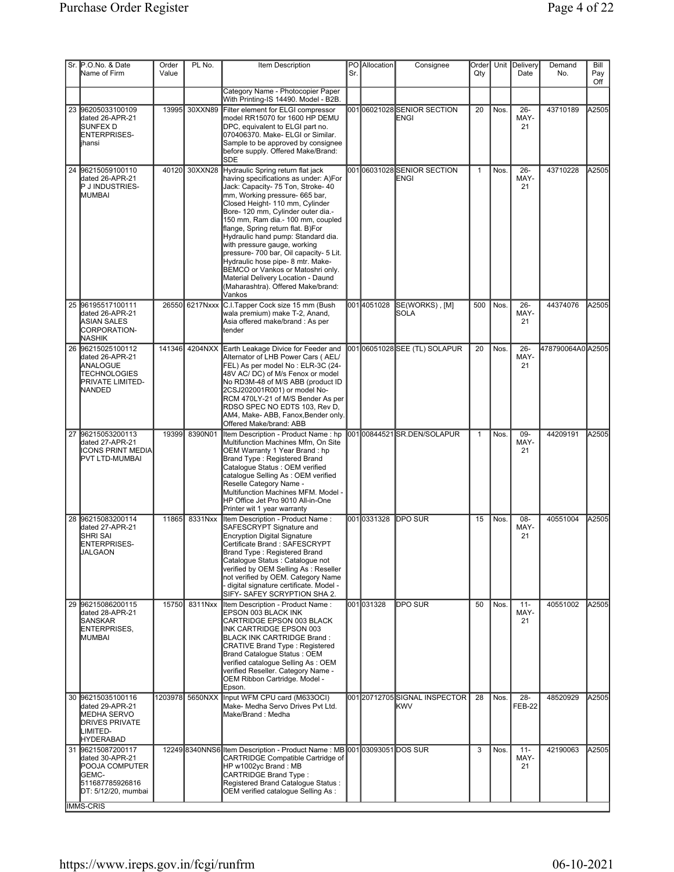| Sr. P.O.No. & Date<br>Name of Firm                                                                                                           | Order<br>Value | PL No.          | Item Description                                                                                                                                                                                                                                                                                                                                                                                                                                                                                                                                                                       | Sr. | PO Allocation | Consignee                                   | Order<br>Qty |      | Unit Delivery<br>Date | Demand<br>No.     | Bill<br>Pay<br>Off |
|----------------------------------------------------------------------------------------------------------------------------------------------|----------------|-----------------|----------------------------------------------------------------------------------------------------------------------------------------------------------------------------------------------------------------------------------------------------------------------------------------------------------------------------------------------------------------------------------------------------------------------------------------------------------------------------------------------------------------------------------------------------------------------------------------|-----|---------------|---------------------------------------------|--------------|------|-----------------------|-------------------|--------------------|
|                                                                                                                                              |                |                 | Category Name - Photocopier Paper<br>With Printing-IS 14490. Model - B2B.                                                                                                                                                                                                                                                                                                                                                                                                                                                                                                              |     |               |                                             |              |      |                       |                   |                    |
| 23 96205033100109<br>dated 26-APR-21<br><b>ISUNFEX D</b><br>ENTERPRISES-<br><b>l</b> ihansi                                                  |                | 13995 30XXN89   | Filter element for ELGI compressor<br>model RR15070 for 1600 HP DEMU<br>DPC, equivalent to ELGI part no.<br>070406370. Make- ELGI or Similar.<br>Sample to be approved by consignee<br>before supply. Offered Make/Brand:<br><b>SDE</b>                                                                                                                                                                                                                                                                                                                                                |     |               | 00106021028SENIOR SECTION<br>ENGI           | 20           | Nos. | $26 -$<br>MAY-<br>21  | 43710189          | A2505              |
| 24 96215059100110<br>dated 26-APR-21<br><b>PJINDUSTRIES-</b><br>MUMBAI                                                                       |                | 40120 30XXN28   | Hydraulic Spring return flat jack<br>having specifications as under: A)For<br>Jack: Capacity- 75 Ton, Stroke- 40<br>mm, Working pressure- 665 bar,<br>Closed Height- 110 mm, Cylinder<br>Bore- 120 mm, Cylinder outer dia.-<br>150 mm, Ram dia.- 100 mm, coupled<br>flange, Spring return flat. B)For<br>Hydraulic hand pump: Standard dia.<br>with pressure gauge, working<br>pressure- 700 bar, Oil capacity- 5 Lit.<br>Hydraulic hose pipe- 8 mtr. Make-<br>BEMCO or Vankos or Matoshri only.<br>Material Delivery Location - Daund<br>(Maharashtra). Offered Make/brand:<br>Vankos |     |               | 00106031028SENIOR SECTION<br>ENGI           | $\mathbf{1}$ | Nos. | $26 -$<br>MAY-<br>21  | 43710228          | A2505              |
| 25 96195517100111<br>dated 26-APR-21<br>ASIAN SALES<br>CORPORATION-<br><b>NASHIK</b>                                                         |                | 26550 6217Nxxx  | C.I.Tapper Cock size 15 mm (Bush<br>wala premium) make T-2, Anand,<br>Asia offered make/brand : As per<br>ltender                                                                                                                                                                                                                                                                                                                                                                                                                                                                      |     | 0014051028    | SE(WORKS), [M]<br>ISOLA                     | 500          | Nos. | $26 -$<br>MAY-<br>21  | 44374076          | A2505              |
| 26 96215025100112<br>dated 26-APR-21<br><b>ANALOGUE</b><br><b>TECHNOLOGIES</b><br><b>PRIVATE LIMITED-</b><br><b>NANDED</b>                   | 141346         | 4204NXX         | Earth Leakage Divice for Feeder and<br>Alternator of LHB Power Cars ( AEL/<br>FEL) As per model No : ELR-3C (24-<br>48V AC/ DC) of M/s Fenox or model<br>No RD3M-48 of M/S ABB (product ID<br>2CSJ202001R001) or model No-<br>RCM 470LY-21 of M/S Bender As per<br>RDSO SPEC NO EDTS 103, Rev D,<br>AM4, Make-ABB, Fanox, Bender only.<br>Offered Make/brand: ABB                                                                                                                                                                                                                      |     |               | 00106051028SEE (TL) SOLAPUR                 | 20           | Nos. | $26 -$<br>MAY-<br>21  | 478790064A0 A2505 |                    |
| 27 96215053200113<br>dated 27-APR-21<br><b>I</b> ICONS PRINT MEDIAI<br><b>IPVT LTD-MUMBAI</b>                                                | 19399          | 8390N01         | Item Description - Product Name: hp<br>Multifunction Machines Mfm, On Site<br>OEM Warranty 1 Year Brand: hp<br>Brand Type: Registered Brand<br>Catalogue Status : OEM verified<br>catalogue Selling As : OEM verified<br>Reselle Category Name -<br>Multifunction Machines MFM. Model -<br>HP Office Jet Pro 9010 All-in-One<br>Printer wit 1 year warranty                                                                                                                                                                                                                            |     |               | 00100844521SR.DEN/SOLAPUR                   | $\mathbf{1}$ | Nos. | $09 -$<br>MAY-<br>21  | 44209191          | A2505              |
| 28 96215083200114<br>dated 27-APR-21<br><b>I</b> SHRI SAI<br>ENTERPRISES-<br>JALGAON                                                         | 11865          | 8331Nxx         | Item Description - Product Name:<br>SAFESCRYPT Signature and<br><b>Encryption Digital Signature</b><br>Certificate Brand: SAFESCRYPT<br>Brand Type : Registered Brand<br>Cataloque Status : Cataloque not<br>verified by OEM Selling As: Reseller<br>not verified by OEM. Category Name<br>- digital signature certificate. Model -<br>SIFY- SAFEY SCRYPTION SHA 2.                                                                                                                                                                                                                    |     | 0010331328    | <b>IDPO SUR</b>                             | 15           | Nos. | 08-<br>MAY-<br>21     | 40551004          | A2505              |
| 29 96215086200115<br>dated 28-APR-21<br><b>SANSKAR</b><br>ENTERPRISES,<br>MUMBAI                                                             | 15750          | 8311Nxx         | Item Description - Product Name:<br>EPSON 003 BLACK INK<br>CARTRIDGE EPSON 003 BLACK<br>INK CARTRIDGE EPSON 003<br>BLACK INK CARTRIDGE Brand:<br><b>CRATIVE Brand Type: Registered</b><br>Brand Catalogue Status: OEM<br>verified catalogue Selling As: OEM<br>verified Reseller. Category Name -<br>OEM Ribbon Cartridge. Model -<br>Epson.                                                                                                                                                                                                                                           |     | 001031328     | <b>IDPO SUR</b>                             | 50           | Nos. | $11 -$<br>MAY-<br>21  | 40551002          | A2505              |
| 30 96215035100116<br>dated 29-APR-21<br><b>MEDHA SERVO</b><br><b>DRIVES PRIVATE</b><br>LIMITED-<br><b>HYDERABAD</b>                          |                | 1203978 5650NXX | Input WFM CPU card (M633OCI)<br>Make- Medha Servo Drives Pvt Ltd.<br>Make/Brand: Medha                                                                                                                                                                                                                                                                                                                                                                                                                                                                                                 |     |               | 00120712705SIGNAL INSPECTOR<br><b>I</b> kwv | 28           | Nos. | 28-<br><b>FEB-22</b>  | 48520929          | A2505              |
| 31 96215087200117<br>dated 30-APR-21<br><b>POOJA COMPUTER</b><br><b>IGEMC-</b><br>511687785926816<br>DT: 5/12/20, mumbai<br><b>IMMS-CRIS</b> |                |                 | 12249 8340NNS6 Item Description - Product Name: MB 001 03093051 DOS SUR<br>CARTRIDGE Compatible Cartridge of<br>HP w1002yc Brand: MB<br>CARTRIDGE Brand Type:<br>Registered Brand Catalogue Status:<br>OEM verified catalogue Selling As:                                                                                                                                                                                                                                                                                                                                              |     |               |                                             | 3            | Nos. | $11 -$<br>MAY-<br>21  | 42190063          | A2505              |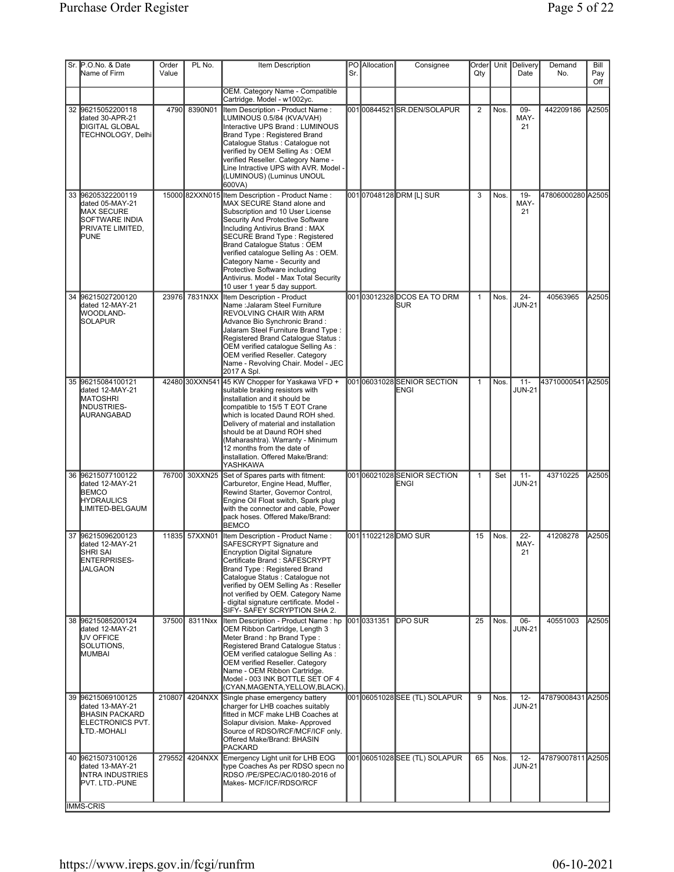|    | Sr. P.O.No. & Date<br>Name of Firm                                                                             | Order<br>Value | PL No.        | Item Description                                                                                                                                                                                                                                                                                                                                                                                                                                 | Sr. | PO Allocation | Consignee                                  | Order<br>Qty   |      | Unit Delivery<br>Date   | Demand<br>No.     | Bill<br>Pay<br>Off |
|----|----------------------------------------------------------------------------------------------------------------|----------------|---------------|--------------------------------------------------------------------------------------------------------------------------------------------------------------------------------------------------------------------------------------------------------------------------------------------------------------------------------------------------------------------------------------------------------------------------------------------------|-----|---------------|--------------------------------------------|----------------|------|-------------------------|-------------------|--------------------|
|    |                                                                                                                |                |               | OEM. Category Name - Compatible<br>Cartridge. Model - w1002yc.                                                                                                                                                                                                                                                                                                                                                                                   |     |               |                                            |                |      |                         |                   |                    |
|    | 32 96215052200118<br>dated 30-APR-21<br><b>DIGITAL GLOBAL</b><br> TECHNOLOGY, Delhi                            | 4790           | 8390N01       | Item Description - Product Name:<br>LUMINOUS 0.5/84 (KVA/VAH)<br>Interactive UPS Brand: LUMINOUS<br>Brand Type: Registered Brand<br>Catalogue Status : Catalogue not<br>verified by OEM Selling As: OEM<br>verified Reseller. Category Name -<br>Line Intractive UPS with AVR. Model -<br>(LUMINOUS) (Luminus UNOUL<br>600VA)                                                                                                                    |     |               | 00100844521SR.DEN/SOLAPUR                  | $\overline{2}$ | Nos. | 09-<br>MAY-<br>21       | 442209186         | A2505              |
|    | 33 96205322200119<br>dated 05-MAY-21<br>MAX SECURE<br><b>SOFTWARE INDIA</b><br><b>PRIVATE LIMITED,</b><br>PUNE |                |               | 15000 82XXN015 Item Description - Product Name:<br>MAX SECURE Stand alone and<br>Subscription and 10 User License<br>Security And Protective Software<br>Including Antivirus Brand: MAX<br><b>SECURE Brand Type: Registered</b><br>Brand Catalogue Status: OEM<br>verified catalogue Selling As: OEM.<br>Category Name - Security and<br>Protective Software including<br>Antivirus. Model - Max Total Security<br>10 user 1 year 5 day support. |     |               | 00107048128DRM [L] SUR                     | 3              | Nos. | $19 -$<br>MAY-<br>21    | 47806000280 A2505 |                    |
| 34 | 96215027200120<br>dated 12-MAY-21<br><b>WOODLAND-</b><br><b>SOLAPUR</b>                                        | 23976          | 7831NXX       | Item Description - Product<br>Name: Jalaram Steel Furniture<br>REVOLVING CHAIR With ARM<br>Advance Bio Synchronic Brand:<br>Jalaram Steel Furniture Brand Type:<br>Registered Brand Catalogue Status:<br>OEM verified catalogue Selling As :<br>OEM verified Reseller. Category<br>Name - Revolving Chair. Model - JEC<br>2017 A Spl.                                                                                                            |     |               | 00103012328DCOS EA TO DRM<br><b>ISUR</b>   | $\mathbf{1}$   | Nos. | $24 -$<br><b>JUN-21</b> | 40563965          | A2505              |
|    | 35 96215084100121<br>dated 12-MAY-21<br><b>MATOSHRI</b><br><b>INDUSTRIES-</b><br>AURANGABAD                    |                |               | 42480 30XXN541 45 KW Chopper for Yaskawa VFD +<br>suitable braking resistors with<br>installation and it should be<br>compatible to 15/5 T EOT Crane<br>which is located Daund ROH shed.<br>Delivery of material and installation<br>should be at Daund ROH shed<br>(Maharashtra). Warranty - Minimum<br>12 months from the date of<br>installation. Offered Make/Brand:<br>YASHKAWA                                                             |     |               | 001 <b>0</b> 6031028SENIOR SECTION<br>ENGI | $\mathbf{1}$   | Nos. | $11 -$<br><b>JUN-21</b> | 43710000541 A2505 |                    |
|    | 36 96215077100122<br>dated 12-MAY-21<br><b>BEMCO</b><br><b>HYDRAULICS</b><br>LIMITED-BELGAUM                   |                | 76700 30XXN25 | Set of Spares parts with fitment:<br>Carburetor, Engine Head, Muffler,<br>Rewind Starter, Governor Control,<br>Engine Oil Float switch, Spark plug<br>with the connector and cable, Power<br>pack hoses. Offered Make/Brand:<br><b>BEMCO</b>                                                                                                                                                                                                     |     |               | 00106021028SENIOR SECTION<br>ENGI          | $\mathbf{1}$   | Set  | $11 -$<br><b>JUN-21</b> | 43710225          | A2505              |
|    | 37 96215096200123<br>dated 12-MAY-21<br>SHRI SAI<br>ENTERPRISES-<br>JALGAON                                    |                | 11835 57XXN01 | Item Description - Product Name:<br>SAFESCRYPT Signature and<br><b>Encryption Digital Signature</b><br>Certificate Brand: SAFESCRYPT<br>Brand Type: Registered Brand<br>Cataloque Status : Cataloque not<br>verified by OEM Selling As: Reseller<br>not verified by OEM. Category Name<br>- digital signature certificate. Model -<br>SIFY- SAFEY SCRYPTION SHA 2.                                                                               |     |               | 00111022128DMO SUR                         | 15             | Nos. | $22 -$<br>MAY-<br>21    | 41208278          | A2505              |
|    | 38 96215085200124<br>dated 12-MAY-21<br><b>JUV OFFICE</b><br>SOLUTIONS,<br>MUMBAI                              | 37500          | 8311Nxx       | Item Description - Product Name: hp<br>OEM Ribbon Cartridge, Length 3<br>Meter Brand: hp Brand Type:<br>Registered Brand Catalogue Status:<br>OEM verified catalogue Selling As:<br><b>OEM verified Reseller. Category</b><br>Name - OEM Ribbon Cartridge.<br>Model - 003 INK BOTTLE SET OF 4<br>(CYAN, MAGENTA, YELLOW, BLACK).                                                                                                                 |     | 0010331351    | <b>IDPO SUR</b>                            | 25             | Nos. | $06 -$<br><b>JUN-21</b> | 40551003          | A2505              |
|    | 39 96215069100125<br>dated 13-MAY-21<br><b>BHASIN PACKARD</b><br>ELECTRONICS PVT.<br>LTD.-MOHALI               | 210807         | 4204NXX       | Single phase emergency battery<br>charger for LHB coaches suitably<br>fitted in MCF make LHB Coaches at<br>Solapur division. Make- Approved<br>Source of RDSO/RCF/MCF/ICF only.<br>Offered Make/Brand: BHASIN<br>PACKARD                                                                                                                                                                                                                         |     |               | 00106051028SEE (TL) SOLAPUR                | 9              | Nos. | $12 -$<br><b>JUN-21</b> | 47879008431 A2505 |                    |
|    | 40 96215073100126<br>dated 13-MAY-21<br><b>INTRA INDUSTRIES</b><br>PVT. LTD.-PUNE                              |                |               | 279552 4204NXX Emergency Light unit for LHB EOG<br>type Coaches As per RDSO specn no<br>RDSO /PE/SPEC/AC/0180-2016 of<br>Makes- MCF/ICF/RDSO/RCF                                                                                                                                                                                                                                                                                                 |     |               | 00106051028SEE (TL) SOLAPUR                | 65             | Nos. | $12 -$<br><b>JUN-21</b> | 47879007811 A2505 |                    |
|    | <b>IMMS-CRIS</b>                                                                                               |                |               |                                                                                                                                                                                                                                                                                                                                                                                                                                                  |     |               |                                            |                |      |                         |                   |                    |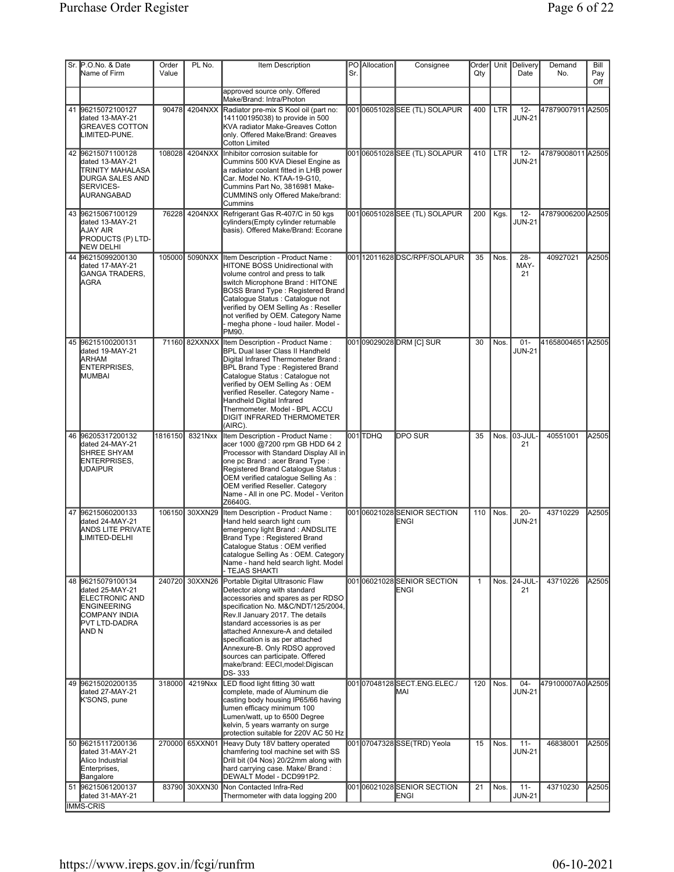|    | Sr. P.O.No. & Date                                                                                                                             | Order   | PL No.         | Item Description                                                                                                                                                                                                                                                                                                                                                                                                 |     | <b>PO</b> Allocation | Consignee                                | Order        |            | Unit Delivery           | Demand            | Bill       |
|----|------------------------------------------------------------------------------------------------------------------------------------------------|---------|----------------|------------------------------------------------------------------------------------------------------------------------------------------------------------------------------------------------------------------------------------------------------------------------------------------------------------------------------------------------------------------------------------------------------------------|-----|----------------------|------------------------------------------|--------------|------------|-------------------------|-------------------|------------|
|    | Name of Firm                                                                                                                                   | Value   |                |                                                                                                                                                                                                                                                                                                                                                                                                                  | Sr. |                      |                                          | Qty          |            | Date                    | No.               | Pay<br>Off |
|    |                                                                                                                                                |         |                | approved source only. Offered<br>Make/Brand: Intra/Photon                                                                                                                                                                                                                                                                                                                                                        |     |                      |                                          |              |            |                         |                   |            |
|    | 41 96215072100127<br>dated 13-MAY-21<br><b>GREAVES COTTON</b><br>LIMITED-PUNE.                                                                 |         | 90478 4204NXX  | Radiator pre-mix S Kool oil (part no:<br>141100195038) to provide in 500<br>KVA radiator Make-Greaves Cotton<br>only. Offered Make/Brand: Greaves<br><b>Cotton Limited</b>                                                                                                                                                                                                                                       |     |                      | 00106051028SEE (TL) SOLAPUR              | 400          | <b>LTR</b> | $12 -$<br><b>JUN-21</b> | 47879007911 A2505 |            |
|    | 42 96215071100128<br>dated 13-MAY-21<br>TRINITY MAHALASA<br><b>DURGA SALES AND</b><br><b>ISERVICES-</b><br>AURANGABAD                          | 108028  | 4204NXX        | Inhibitor corrosion suitable for<br>Cummins 500 KVA Diesel Engine as<br>a radiator coolant fitted in LHB power<br>Car. Model No. KTAA-19-G10,<br>Cummins Part No, 3816981 Make-<br><b>CUMMINS only Offered Make/brand:</b><br>Cummins                                                                                                                                                                            |     |                      | 00106051028SEE (TL) SOLAPUR              | 410          | <b>LTR</b> | $12 -$<br><b>JUN-21</b> | 47879008011 A2505 |            |
|    | 43 96215067100129<br>dated 13-MAY-21<br>AJAY AIR<br>PRODUCTS (P) LTD-<br>NEW DELHI                                                             |         | 76228 4204NXX  | Refrigerant Gas R-407/C in 50 kgs<br>cylinders(Empty cylinder returnable<br>basis). Offered Make/Brand: Ecorane                                                                                                                                                                                                                                                                                                  |     |                      | 00106051028SEE (TL) SOLAPUR              | 200          | Kgs.       | $12 -$<br><b>JUN-21</b> | 47879006200 A2505 |            |
|    | 44 96215099200130<br>dated 17-MAY-21<br><b>I</b> GANGA TRADERS.<br><b>AGRA</b>                                                                 |         | 105000 5090NXX | Item Description - Product Name:<br>HITONE BOSS Unidirectional with<br>volume control and press to talk<br>switch Microphone Brand: HITONE<br><b>BOSS Brand Type: Registered Brand</b><br>Catalogue Status : Catalogue not<br>verified by OEM Selling As : Reseller<br>not verified by OEM. Category Name<br>- megha phone - loud hailer. Model -<br>PM90.                                                       |     |                      | 00112011628DSC/RPF/SOLAPUR               | 35           | Nos.       | 28-<br>MAY-<br>21       | 40927021          | A2505      |
|    | 45 96215100200131<br>dated 19-MAY-21<br><b>ARHAM</b><br>ENTERPRISES,<br>MUMBAI                                                                 |         | 71160 82XXNXX  | Item Description - Product Name:<br><b>BPL Dual laser Class II Handheld</b><br>Digital Infrared Thermometer Brand:<br><b>BPL Brand Type: Registered Brand</b><br>Catalogue Status : Catalogue not<br>verified by OEM Selling As: OEM<br>verified Reseller. Category Name -<br>Handheld Digital Infrared<br>Thermometer. Model - BPL ACCU<br><b>DIGIT INFRARED THERMOMETER</b><br>(AIRC).                         |     |                      | 00109029028DRM [C] SUR                   | 30           | Nos.       | $01 -$<br><b>JUN-21</b> | 41658004651 A2505 |            |
| 46 | 96205317200132<br>dated 24-MAY-21<br>SHREE SHYAM<br>ENTERPRISES,<br><b>UDAIPUR</b>                                                             | 1816150 | 8321Nxx        | Item Description - Product Name:<br>acer 1000 @7200 rpm GB HDD 64 2<br>Processor with Standard Display All in<br>one pc Brand : acer Brand Type :<br>Registered Brand Catalogue Status:<br>OEM verified catalogue Selling As :<br>OEM verified Reseller. Category<br>Name - All in one PC. Model - Veriton<br>Z6640G.                                                                                            |     | 001 TDHQ             | DPO SUR                                  | 35           |            | Nos. 03-JUL-<br>21      | 40551001          | A2505      |
|    | 47 96215060200133<br>dated 24-MAY-21<br><b>ANDS LITE PRIVATE</b><br>LIMITED-DELHI                                                              | 106150  | 30XXN29        | Item Description - Product Name:<br>Hand held search light cum<br>emergency light Brand: ANDSLITE<br>Brand Type: Registered Brand<br>Catalogue Status : OEM verified<br>catalogue Selling As: OEM. Category<br>Name - hand held search light. Model<br>TEJAS SHAKTI                                                                                                                                              |     |                      | 00106021028SENIOR SECTION<br>ENGI        | 110          | Nos.       | $20 -$<br><b>JUN-21</b> | 43710229          | A2505      |
|    | 48 96215079100134<br>dated 25-MAY-21<br><b>ELECTRONIC AND</b><br><b>ENGINEERING</b><br>COMPANY INDIA<br><b>IPVT LTD-DADRA</b><br><b>JAND N</b> | 240720  | 30XXN26        | Portable Digital Ultrasonic Flaw<br>Detector along with standard<br>accessories and spares as per RDSO<br>specification No. M&C/NDT/125/2004,<br>Rev.II January 2017. The details<br>standard accessories is as per<br>attached Annexure-A and detailed<br>specification is as per attached<br>Annexure-B. Only RDSO approved<br>sources can participate. Offered<br>make/brand: EECI, model: Digiscan<br>DS-333 |     |                      | 00106021028SENIOR SECTION<br><b>ENGI</b> | $\mathbf{1}$ |            | Nos. 24-JUL-<br>21      | 43710226          | A2505      |
|    | 49 96215020200135<br>dated 27-MAY-21<br>K'SONS, pune                                                                                           | 318000  | 4219Nxx        | LED flood light fitting 30 watt<br>complete, made of Aluminum die<br>casting body housing IP65/66 having<br>lumen efficacy minimum 100<br>Lumen/watt, up to 6500 Degree<br>kelvin, 5 years warranty on surge<br>protection suitable for 220V AC 50 Hz                                                                                                                                                            |     |                      | 001 07048128 SECT.ENG.ELEC./<br>MAI      | 120          | Nos.       | $04 -$<br><b>JUN-21</b> | 479100007A0 A2505 |            |
|    | 50 96215117200136<br>dated 31-MAY-21<br>Alico Industrial<br>Enterprises,<br>Bangalore                                                          |         | 270000 65XXN01 | Heavy Duty 18V battery operated<br>chamfering tool machine set with SS<br>Drill bit (04 Nos) 20/22mm along with<br>hard carrying case. Make/ Brand:<br>DEWALT Model - DCD991P2.                                                                                                                                                                                                                                  |     |                      | 001 07047328 SSE(TRD) Yeola              | 15           | Nos.       | $11 -$<br>JUN-21        | 46838001          | A2505      |
|    | 51 96215061200137<br>dated 31-MAY-21<br><b>IMMS-CRIS</b>                                                                                       | 83790   | 30XXN30        | Non Contacted Infra-Red<br>Thermometer with data logging 200                                                                                                                                                                                                                                                                                                                                                     |     |                      | 00106021028SENIOR SECTION<br>ENGI        | 21           | Nos.       | $11 -$<br><b>JUN-21</b> | 43710230          | A2505      |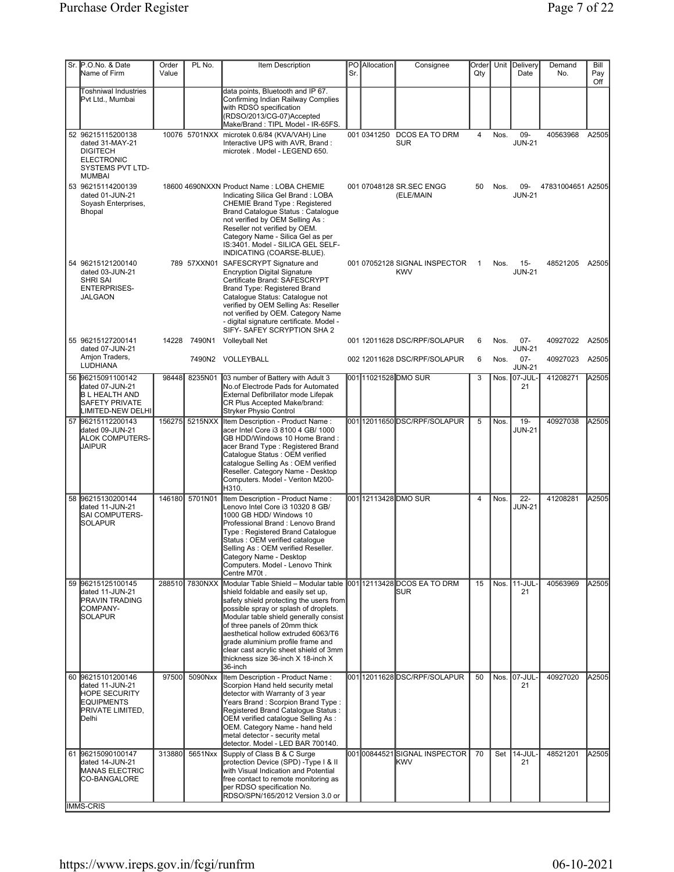| Sr. P.O.No. & Date<br>Name of Firm                                                                                    | Order<br>Value | PL No.         | Item Description                                                                                                                                                                                                                                                                                                                                                                                                                             | Sr. | <b>PO</b> Allocation | Consignee                                   | Order<br>Qty |      | Unit Delivery<br>Date   | Demand<br>No.     | Bill<br>Pay<br>Off |
|-----------------------------------------------------------------------------------------------------------------------|----------------|----------------|----------------------------------------------------------------------------------------------------------------------------------------------------------------------------------------------------------------------------------------------------------------------------------------------------------------------------------------------------------------------------------------------------------------------------------------------|-----|----------------------|---------------------------------------------|--------------|------|-------------------------|-------------------|--------------------|
| Toshniwal Industries<br>Pvt Ltd., Mumbai                                                                              |                |                | data points, Bluetooth and IP 67.<br>Confirming Indian Railway Complies<br>with RDSO specification<br>(RDSO/2013/CG-07)Accepted<br>Make/Brand: TIPL Model - IR-65FS.                                                                                                                                                                                                                                                                         |     |                      |                                             |              |      |                         |                   |                    |
| 52 96215115200138<br>dated 31-MAY-21<br><b>DIGITECH</b><br><b>ELECTRONIC</b><br>SYSTEMS PVT LTD-<br><b>MUMBAI</b>     |                |                | 10076 5701NXX microtek 0.6/84 (KVA/VAH) Line<br>Interactive UPS with AVR, Brand:<br>microtek . Model - LEGEND 650.                                                                                                                                                                                                                                                                                                                           |     |                      | 001 0341250 DCOS EA TO DRM<br><b>SUR</b>    | 4            | Nos. | 09-<br><b>JUN-21</b>    | 40563968          | A2505              |
| 53 96215114200139<br>dated 01-JUN-21<br>Soyash Enterprises,<br>Bhopal                                                 |                |                | 18600 4690NXXN Product Name: LOBA CHEMIE<br>Indicating Silica Gel Brand: LOBA<br><b>CHEMIE Brand Type: Registered</b><br>Brand Catalogue Status: Catalogue<br>not verified by OEM Selling As :<br>Reseller not verified by OEM.<br>Category Name - Silica Gel as per<br>IS:3401. Model - SILICA GEL SELF-<br>INDICATING (COARSE-BLUE).                                                                                                       |     |                      | 001 07048128 SR.SEC ENGG<br>(ELE/MAIN       | 50           | Nos. | 09-<br><b>JUN-21</b>    | 47831004651 A2505 |                    |
| 54 96215121200140<br>dated 03-JUN-21<br><b>SHRI SAI</b><br><b>ENTERPRISES-</b><br><b>JALGAON</b>                      |                |                | 789 57XXN01 SAFESCRYPT Signature and<br><b>Encryption Digital Signature</b><br>Certificate Brand: SAFESCRYPT<br>Brand Type: Registered Brand<br>Cataloque Status: Cataloque not<br>verified by OEM Selling As: Reseller<br>not verified by OEM. Category Name<br>- digital signature certificate. Model -<br>SIFY- SAFEY SCRYPTION SHA 2                                                                                                     |     |                      | 001 07052128 SIGNAL INSPECTOR<br><b>KWV</b> | $\mathbf{1}$ | Nos. | $15 -$<br><b>JUN-21</b> | 48521205          | A2505              |
| 55 96215127200141<br>dated 07-JUN-21                                                                                  |                | 14228 7490N1   | <b>Volleyball Net</b>                                                                                                                                                                                                                                                                                                                                                                                                                        |     |                      | 001 12011628 DSC/RPF/SOLAPUR                | 6            | Nos. | $07 -$<br><b>JUN-21</b> | 40927022          | A2505              |
| Amjon Traders,<br><b>LUDHIANA</b>                                                                                     |                |                | 7490N2 VOLLEYBALL                                                                                                                                                                                                                                                                                                                                                                                                                            |     |                      | 002 12011628 DSC/RPF/SOLAPUR                | 6            | Nos. | $07 -$<br><b>JUN-21</b> | 40927023          | A2505              |
| 56 96215091100142<br>dated 07-JUN-21<br><b>B L HEALTH AND</b><br><b>SAFETY PRIVATE</b><br>LIMITED-NEW DELHI           | 98448          | 8235N01        | 03 number of Battery with Adult 3<br>No.of Electrode Pads for Automated<br>External Defibrillator mode Lifepak<br>CR Plus Accepted Make/brand:<br><b>Stryker Physio Control</b>                                                                                                                                                                                                                                                              |     |                      | 00111021528 DMO SUR                         | 3            |      | Nos. 07-JUL-<br>21      | 41208271          | A2505              |
| 57 96215112200143<br>dated 09-JUN-21<br><b>ALOK COMPUTERS-</b><br><b>JAIPUR</b>                                       | 156275         | 5215NXX        | Item Description - Product Name:<br>acer Intel Core i3 8100 4 GB/ 1000<br>GB HDD/Windows 10 Home Brand:<br>acer Brand Type: Registered Brand<br>Catalogue Status : OEM verified<br>catalogue Selling As: OEM verified<br>Reseller. Category Name - Desktop<br>Computers. Model - Veriton M200-<br>H310.                                                                                                                                      |     |                      | 00112011650DSC/RPF/SOLAPUR                  | 5            | Nos. | $19 -$<br><b>JUN-21</b> | 40927038          | A2505              |
| 58 96215130200144<br>dated 11-JUN-21<br><b>SAI COMPUTERS-</b><br><b>SOLAPUR</b>                                       | 146180         | 5701N01        | Item Description - Product Name:<br>Lenovo Intel Core i3 10320 8 GB/<br>1000 GB HDD/ Windows 10<br>Professional Brand: Lenovo Brand<br>Type: Registered Brand Catalogue<br>Status: OEM verified cataloque<br>Selling As : OEM verified Reseller.<br>Category Name - Desktop<br>Computers. Model - Lenovo Think<br>Centre M70t.                                                                                                               |     |                      | 001112113428DMOSUR                          | 4            | Nos. | $22 -$<br><b>JUN-21</b> | 41208281          | A2505              |
| 59 96215125100145<br>dated 11-JUN-21<br><b>PRAVIN TRADING</b><br>COMPANY-<br><b>SOLAPUR</b>                           |                | 288510 7830NXX | Modular Table Shield - Modular table 001 12113428 DCOS EA TO DRM<br>shield foldable and easily set up,<br>safety shield protecting the users from<br>possible spray or splash of droplets.<br>Modular table shield generally consist<br>of three panels of 20mm thick<br>aesthetical hollow extruded 6063/T6<br>grade aluminium profile frame and<br>clear cast acrylic sheet shield of 3mm<br>thickness size 36-inch X 18-inch X<br>36-inch |     |                      | <b>ISUR</b>                                 | 15           |      | Nos. 11-JUL<br>21       | 40563969          | A2505              |
| 60 96215101200146<br>dated 11-JUN-21<br><b>HOPE SECURITY</b><br><b>EQUIPMENTS</b><br>PRIVATE LIMITED,<br><b>Delhi</b> | 97500          | 5090Nxx        | Item Description - Product Name:<br>Scorpion Hand held security metal<br>detector with Warranty of 3 year<br>Years Brand: Scorpion Brand Type:<br>Registered Brand Catalogue Status:<br>OEM verified catalogue Selling As:<br>OEM. Category Name - hand held<br>metal detector - security metal<br>detector. Model - LED BAR 700140.                                                                                                         |     |                      | 001112011628DSC/RPF/SOLAPUR                 | 50           |      | Nos. 07-JUL<br>21       | 40927020          | A2505              |
| 61 96215090100147<br>dated 14-JUN-21<br>MANAS ELECTRIC<br>CO-BANGALORE<br><b>IMMS-CRIS</b>                            | 313880         | 5651Nxx        | Supply of Class B & C Surge<br>protection Device (SPD) - Type I & II<br>with Visual Indication and Potential<br>free contact to remote monitoring as<br>per RDSO specification No.<br>RDSO/SPN/165/2012 Version 3.0 or                                                                                                                                                                                                                       |     |                      | 00100844521SIGNAL INSPECTOR<br><b>KWV</b>   | 70           | Set  | 14-JUL<br>21            | 48521201          | A2505              |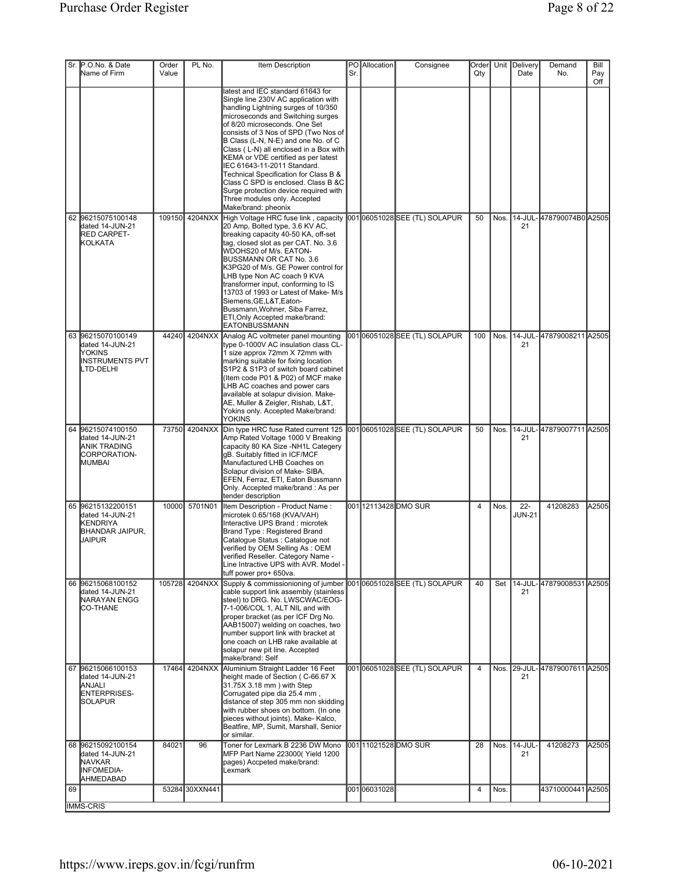|    | Sr. P.O.No. & Date<br>Name of Firm                                                      | Order<br>Value | PL No.         | Item Description                                                                                                                                                                                                                                                                                                                                                                                                                                                                                                                                                      | Sr. | PO Allocation | Consignee                     | Order<br>Qty   |      | Unit Delivery<br>Date   | Demand<br>No.                   | Bill<br>Pay<br>Off |
|----|-----------------------------------------------------------------------------------------|----------------|----------------|-----------------------------------------------------------------------------------------------------------------------------------------------------------------------------------------------------------------------------------------------------------------------------------------------------------------------------------------------------------------------------------------------------------------------------------------------------------------------------------------------------------------------------------------------------------------------|-----|---------------|-------------------------------|----------------|------|-------------------------|---------------------------------|--------------------|
|    |                                                                                         |                |                | latest and IEC standard 61643 for<br>Single line 230V AC application with<br>handling Lightning surges of 10/350<br>microseconds and Switching surges<br>of 8/20 microseconds. One Set<br>consists of 3 Nos of SPD (Two Nos of<br>B Class (L-N, N-E) and one No. of C<br>Class (L-N) all enclosed in a Box with<br>KEMA or VDE certified as per latest<br>IEC 61643-11-2011 Standard.<br>Technical Specification for Class B &<br>Class C SPD is enclosed. Class B &C<br>Surge protection device required with<br>Three modules only. Accepted<br>Make/brand: pheonix |     |               |                               |                |      |                         |                                 |                    |
|    | 62 96215075100148<br>dated 14-JUN-21<br><b>RED CARPET-</b><br><b>KOLKATA</b>            | 109150         | 4204NXX        | High Voltage HRC fuse link, capacity<br>20 Amp, Bolted type, 3.6 KV AC,<br>breaking capacity 40-50 KA, off-set<br>tag, closed slot as per CAT. No. 3.6<br>WDOHS20 of M/s. EATON-<br>BUSSMANN OR CAT No. 3.6<br>K3PG20 of M/s. GE Power control for<br>LHB type Non AC coach 9 KVA<br>transformer input, conforming to IS<br>13703 of 1993 or Latest of Make-M/s<br>Siemens, GE, L&T, Eaton-<br>Bussmann, Wohner, Siba Farrez,<br>ETI, Only Accepted make/brand:<br>EATONBUSSMANN                                                                                      |     |               | 00106051028SEE (TL) SOLAPUR   | 50             | Nos. | 21                      | 14-JUL-478790074B0 A2505        |                    |
|    | 63 96215070100149<br>dated 14-JUN-21<br>IYOKINS<br><b>INSTRUMENTS PVT</b><br>LTD-DELHI  | 44240          | 4204NXX        | Analog AC voltmeter panel mounting<br>type 0-1000V AC insulation class CL-<br>1 size approx 72mm X 72mm with<br>marking suitable for fixing location<br>S1P2 & S1P3 of switch board cabinet<br>(Item code P01 & P02) of MCF make<br>LHB AC coaches and power cars<br>available at solapur division. Make-<br>AE, Muller & Zeigler, Rishab, L&T,<br>Yokins only. Accepted Make/brand:<br><b>YOKINS</b>                                                                                                                                                                 |     |               | 00106051028SEE (TL) SOLAPUR   | 100            | Nos. | 21                      | 14-JUL-47879008211 A2505        |                    |
|    | 64 96215074100150<br>dated 14-JUN-21<br><b>ANIK TRADING</b><br>CORPORATION-<br>MUMBAI   | 73750          | 4204NXX        | Din type HRC fuse Rated current 125<br>Amp Rated Voltage 1000 V Breaking<br>capacity 80 KA Size -NH1L Categery<br>gB. Suitably fitted in ICF/MCF<br>Manufactured LHB Coaches on<br>Solapur division of Make- SIBA,<br>EFEN, Ferraz, ETI, Eaton Bussmann<br>Only. Accepted make/brand: As per<br>tender description                                                                                                                                                                                                                                                    |     |               | 00106051028SEE (TL) SOLAPUR   | 50             | Nos. | 21                      | 14-JUL-47879007711 A2505        |                    |
|    | 65 96215132200151<br>dated 14-JUN-21<br>KENDRIYA<br><b>BHANDAR JAIPUR,</b><br>JAIPUR    | 10000          | 5701N01        | Item Description - Product Name:<br>microtek 0.65/168 (KVA/VAH)<br>Interactive UPS Brand : microtek<br>Brand Type: Registered Brand<br>Cataloque Status : Cataloque not<br>verified by OEM Selling As: OEM<br>verified Reseller. Category Name -<br>Line Intractive UPS with AVR. Model -<br>tuff power pro+ 650va.                                                                                                                                                                                                                                                   |     |               | 001112113428DMO SUR           | 4              | Nos. | $22 -$<br><b>JUN-21</b> | 41208283                        | A2505              |
|    | 66 96215068100152<br>dated 14-JUN-21<br>NARAYAN ENGG<br><b>CO-THANE</b>                 |                | 105728 4204NXX | Supply & commissionioning of jumber<br>cable support link assembly (stainless<br>steel) to DRG. No. LWSCWAC/EOG-<br>7-1-006/COL 1, ALT NIL and with<br>proper bracket (as per ICF Drg No.<br>AAB15007) welding on coaches, two<br>number support link with bracket at<br>one coach on LHB rake available at<br>solapur new pit line. Accepted<br>make/brand: Self                                                                                                                                                                                                     |     |               | 001 06051028 SEE (TL) SOLAPUR | 40             |      | 21                      | Set   14-JUL- 47879008531 A2505 |                    |
|    | 67 96215066100153<br>dated 14-JUN-21<br><b>ANJALI</b><br>ENTERPRISES-<br><b>SOLAPUR</b> | 17464          | 4204NXX        | Aluminium Straight Ladder 16 Feet<br>height made of Section ( C-66.67 X<br>31.75X 3.18 mm) with Step<br>Corrugated pipe dia 25.4 mm,<br>distance of step 305 mm non skidding<br>with rubber shoes on bottom. (In one<br>pieces without joints). Make- Kalco,<br>Beatfire, MP, Sumit, Marshall, Senior<br>or similar.                                                                                                                                                                                                                                                  |     |               | 001 06051028 SEE (TL) SOLAPUR | $\overline{4}$ |      | 21                      | Nos. 29-JUL-47879007611 A2505   |                    |
|    | 68 96215092100154<br>dated 14-JUN-21<br><b>NAVKAR</b><br>INFOMEDIA-<br>AHMEDABAD        | 84021          | 96             | Toner for Lexmark B 2236 DW Mono<br>MFP Part Name 223000(Yield 1200<br>pages) Accpeted make/brand:<br>Lexmark                                                                                                                                                                                                                                                                                                                                                                                                                                                         |     |               | 00111021528DMOSUR             | 28             |      | Nos. 14-JUL-<br>21      | 41208273                        | A2505              |
| 69 | <b>IMMS-CRIS</b>                                                                        |                | 53284 30XXN441 |                                                                                                                                                                                                                                                                                                                                                                                                                                                                                                                                                                       |     | 00106031028   |                               | 4              | Nos. |                         | 43710000441 A2505               |                    |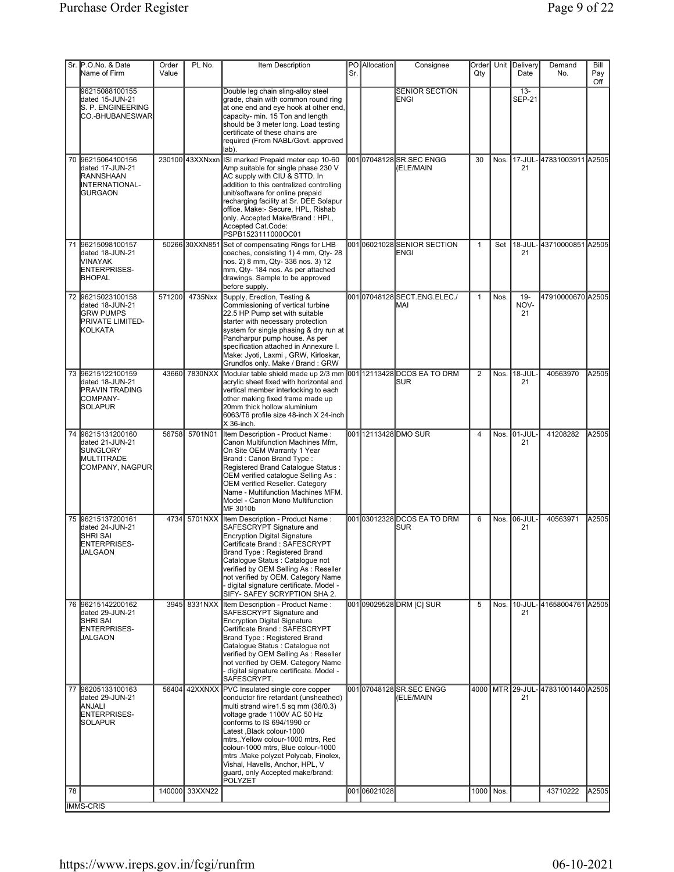|    | Sr. P.O.No. & Date                                                                             | Order  | PL No.          | Item Description                                                                                                                                                                                                                                                                                                                                                                                                                 |     | PO Allocation | Consignee                                | Order          |           | Unit Delivery           | Demand                            | Bill       |
|----|------------------------------------------------------------------------------------------------|--------|-----------------|----------------------------------------------------------------------------------------------------------------------------------------------------------------------------------------------------------------------------------------------------------------------------------------------------------------------------------------------------------------------------------------------------------------------------------|-----|---------------|------------------------------------------|----------------|-----------|-------------------------|-----------------------------------|------------|
|    | Name of Firm                                                                                   | Value  |                 |                                                                                                                                                                                                                                                                                                                                                                                                                                  | Sr. |               |                                          | Qty            |           | Date                    | No.                               | Pay<br>Off |
|    | 96215088100155<br>dated 15-JUN-21<br>S. P. ENGINEERING<br>CO.-BHUBANESWAR                      |        |                 | Double leg chain sling-alloy steel<br>grade, chain with common round ring<br>at one end and eye hook at other end,<br>capacity- min. 15 Ton and length<br>should be 3 meter long. Load testing<br>certificate of these chains are<br>required (From NABL/Govt. approved<br>lab).                                                                                                                                                 |     |               | <b>SENIOR SECTION</b><br>ENGI            |                |           | $13 -$<br><b>SEP-21</b> |                                   |            |
|    | 70 96215064100156<br>dated 17-JUN-21<br>RANNSHAAN<br>INTERNATIONAL-<br><b>IGURGAON</b>         |        | 230100 43XXNxxn | ISI marked Prepaid meter cap 10-60<br>Amp suitable for single phase 230 V<br>AC supply with CIU & STTD. In<br>addition to this centralized controlling<br>unit/software for online prepaid<br>recharging facility at Sr. DEE Solapur<br>office. Make:- Secure, HPL, Rishab<br>only. Accepted Make/Brand: HPL,<br>Accepted Cat.Code:<br>PSPB1523111000OC01                                                                        |     |               | 00107048128SR.SEC ENGG<br>(ELE/MAIN      | 30             | Nos.      | 21                      | 17-JUL-47831003911 A2505          |            |
|    | 71 96215098100157<br>dated 18-JUN-21<br>MINAYAK<br>ENTERPRISES-<br><b>BHOPAL</b>               |        | 50266 30XXN851  | Set of compensating Rings for LHB<br>coaches, consisting 1) 4 mm, Qty- 28<br>nos. 2) 8 mm, Qty- 336 nos. 3) 12<br>mm, Qty- 184 nos. As per attached<br>drawings. Sample to be approved<br>before supply.                                                                                                                                                                                                                         |     |               | 00106021028SENIOR SECTION<br>ENGI        | $\mathbf{1}$   | Set       | 21                      | 18-JUL-43710000851 A2505          |            |
|    | 72 96215023100158<br>dated 18-JUN-21<br><b>GRW PUMPS</b><br><b>PRIVATE LIMITED-</b><br>KOLKATA | 571200 | 4735Nxx         | Supply, Erection, Testing &<br>Commissioning of vertical turbine<br>22.5 HP Pump set with suitable<br>starter with necessary protection<br>system for single phasing & dry run at<br>Pandharpur pump house. As per<br>specification attached in Annexure I.<br>Make: Jyoti, Laxmi, GRW, Kirloskar,<br>Grundfos only. Make / Brand: GRW                                                                                           |     |               | 00107048128SECT.ENG.ELEC./<br>MAI        | $\mathbf{1}$   | Nos.      | $19 -$<br>NOV-<br>21    | 47910000670 A2505                 |            |
|    | 73 96215122100159<br>dated 18-JUN-21<br><b>PRAVIN TRADING</b><br>COMPANY-<br>SOLAPUR           |        | 43660 7830NXX   | Modular table shield made up 2/3 mm 001 12113428 DCOS EA TO DRM<br>acrylic sheet fixed with horizontal and<br>vertical member interlocking to each<br>other making fixed frame made up<br>20mm thick hollow aluminium<br>6063/T6 profile size 48-inch X 24-inch<br>X 36-inch.                                                                                                                                                    |     |               | <b>ISUR</b>                              | $\overline{2}$ | Nos.      | 18-JUL-<br>21           | 40563970                          | A2505      |
|    | 74 96215131200160<br>dated 21-JUN-21<br>SUNGLORY<br>MULTITRADE<br>COMPANY, NAGPUR              |        | 56758 5701N01   | Item Description - Product Name:<br>Canon Multifunction Machines Mfm.<br>On Site OEM Warranty 1 Year<br>Brand: Canon Brand Type:<br>Registered Brand Catalogue Status:<br>OEM verified catalogue Selling As :<br><b>OEM verified Reseller. Category</b><br>Name - Multifunction Machines MFM.<br>Model - Canon Mono Multifunction<br>MF 3010b                                                                                    |     |               | 001 12113428 DMO SUR                     | 4              |           | Nos. 01-JUL-<br>21      | 41208282                          | A2505      |
|    | 75 96215137200161<br>dated 24-JUN-21<br><b>SHRI SAI</b><br>ENTERPRISES-<br>JALGAON             |        | 4734 5701NXX    | Item Description - Product Name:<br>SAFESCRYPT Signature and<br><b>Encryption Digital Signature</b><br>Certificate Brand: SAFESCRYPT<br>Brand Type: Registered Brand<br>Catalogue Status : Catalogue not<br>verified by OEM Selling As: Reseller<br>not verified by OEM. Category Name<br>- digital signature certificate. Model -<br>SIFY- SAFEY SCRYPTION SHA 2.                                                               |     |               | 00103012328DCOS EA TO DRM<br><b>ISUR</b> | 6              |           | Nos. 06-JUL-<br>21      | 40563971                          | A2505      |
|    | 76 96215142200162<br>dated 29-JUN-21<br><b>SHRI SAI</b><br>ENTERPRISES-<br><b>JALGAON</b>      |        | 3945 8331NXX    | Item Description - Product Name:<br>SAFESCRYPT Signature and<br><b>Encryption Digital Signature</b><br>Certificate Brand : SAFESCRYPT<br>Brand Type: Registered Brand<br>Catalogue Status : Catalogue not<br>verified by OEM Selling As: Reseller<br>not verified by OEM. Category Name<br>digital signature certificate. Model -<br>SAFESCRYPT.                                                                                 |     |               | 00109029528DRM [C] SUR                   | 5              |           | 21                      | Nos. 10-JUL-41658004761 A2505     |            |
|    | 77 96205133100163<br>dated 29-JUN-21<br>ANJALI<br><b>ENTERPRISES-</b><br>SOLAPUR               | 56404  |                 | 42XXNXX PVC Insulated single core copper<br>conductor fire retardant (unsheathed)<br>multi strand wire1.5 sq mm (36/0.3)<br>voltage grade 1100V AC 50 Hz<br>conforms to IS 694/1990 or<br>Latest, Black colour-1000<br>mtrs, Yellow colour-1000 mtrs, Red<br>colour-1000 mtrs, Blue colour-1000<br>mtrs .Make polyzet Polycab, Finolex,<br>Vishal, Havells, Anchor, HPL, V<br>guard, only Accepted make/brand:<br><b>POLYZET</b> |     |               | 00107048128SR.SEC ENGG<br>(ELE/MAIN      |                |           | 21                      | 4000 MTR 29-JUL-47831001440 A2505 |            |
| 78 |                                                                                                |        | 140000 33XXN22  |                                                                                                                                                                                                                                                                                                                                                                                                                                  |     | 00106021028   |                                          |                | 1000 Nos. |                         | 43710222                          | A2505      |
|    | <b>IMMS-CRIS</b>                                                                               |        |                 |                                                                                                                                                                                                                                                                                                                                                                                                                                  |     |               |                                          |                |           |                         |                                   |            |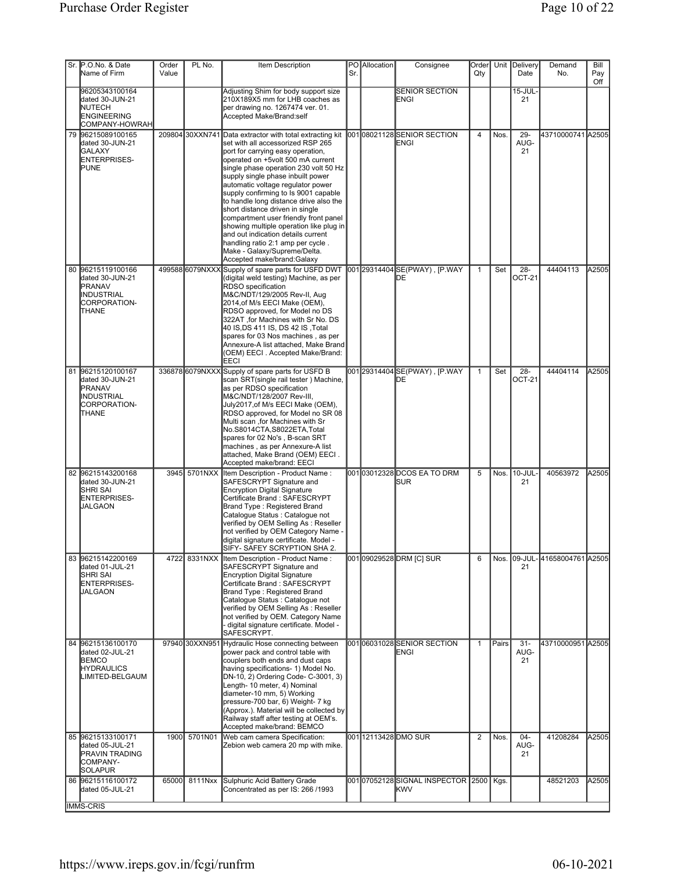| Sr. P.O.No. & Date<br>Name of Firm                                                           | Order<br>Value | PL No.          | Item Description                                                                                                                                                                                                                                                                                                                                                                                                                                                                                                                                                                                                              | Sr. | PO Allocation | Consignee                                | Order<br>Qty   |       | Unit Delivery<br>Date   | Demand<br>No.                 | Bill<br>Pay<br>Off |
|----------------------------------------------------------------------------------------------|----------------|-----------------|-------------------------------------------------------------------------------------------------------------------------------------------------------------------------------------------------------------------------------------------------------------------------------------------------------------------------------------------------------------------------------------------------------------------------------------------------------------------------------------------------------------------------------------------------------------------------------------------------------------------------------|-----|---------------|------------------------------------------|----------------|-------|-------------------------|-------------------------------|--------------------|
| 96205343100164<br>dated 30-JUN-21<br><b>NUTECH</b><br><b>ENGINEERING</b><br>COMPANY-HOWRAH   |                |                 | Adjusting Shim for body support size<br>210X189X5 mm for LHB coaches as<br>per drawing no. 1267474 ver. 01.<br>Accepted Make/Brand:self                                                                                                                                                                                                                                                                                                                                                                                                                                                                                       |     |               | <b>SENIOR SECTION</b><br>ENGI            |                |       | 15-JUL-<br>21           |                               |                    |
| 79 96215089100165<br>dated 30-JUN-21<br><b>I</b> GALAXY<br>ENTERPRISES-<br><b>PUNE</b>       |                | 209804 30XXN741 | Data extractor with total extracting kit<br>set with all accessorized RSP 265<br>port for carrying easy operation,<br>operated on +5volt 500 mA current<br>single phase operation 230 volt 50 Hz<br>supply single phase inbuilt power<br>automatic voltage regulator power<br>supply confirming to Is 9001 capable<br>to handle long distance drive also the<br>short distance driven in single<br>compartment user friendly front panel<br>showing multiple operation like plug in<br>and out indication details current<br>handling ratio 2:1 amp per cycle.<br>Make - Galaxy/Supreme/Delta.<br>Accepted make/brand: Galaxy |     |               | 00108021128 SENIOR SECTION<br>ENGI       | $\overline{4}$ | Nos.  | $29 -$<br>AUG-<br>21    | 43710000741 A2505             |                    |
| 80 96215119100166<br>dated 30-JUN-21<br>PRANAV<br>INDUSTRIAL<br>CORPORATION-<br><b>THANE</b> |                | 499588 6079NXXX | Supply of spare parts for USFD DWT<br>(digital weld testing) Machine, as per<br>RDSO specification<br>M&C/NDT/129/2005 Rev-II, Aug<br>2014, of M/s EECI Make (OEM),<br>RDSO approved, for Model no DS<br>322AT, for Machines with Sr No. DS<br>40 IS,DS 411 IS, DS 42 IS ,Total<br>spares for 03 Nos machines, as per<br>Annexure-A list attached, Make Brand<br>(OEM) EECI . Accepted Make/Brand:<br><b>EECI</b>                                                                                                                                                                                                             |     |               | 001 29314404 SE(PWAY), [P.WAY<br>DЕ      | $\mathbf{1}$   | Set   | 28-<br>OCT-21           | 44404113                      | A2505              |
| 81 96215120100167<br>dated 30-JUN-21<br><b>PRANAV</b><br>INDUSTRIAL<br>CORPORATION-<br>THANE |                | 336878 6079NXXX | Supply of spare parts for USFD B<br>scan SRT(single rail tester) Machine,<br>as per RDSO specification<br>M&C/NDT/128/2007 Rev-III,<br>July2017, of M/s EECI Make (OEM),<br>RDSO approved, for Model no SR 08<br>Multi scan ,for Machines with Sr<br>No.S8014CTA,S8022ETA,Total<br>spares for 02 No's, B-scan SRT<br>machines, as per Annexure-A list<br>attached, Make Brand (OEM) EECI.<br>Accepted make/brand: EECI                                                                                                                                                                                                        |     |               | 001 29314404 SE(PWAY), [P.WAY<br>DE      | $\mathbf{1}$   | Set   | $28 -$<br><b>OCT-21</b> | 44404114                      | A2505              |
| 82 96215143200168<br>dated 30-JUN-21<br><b>SHRI SAI</b><br>ENTERPRISES-<br>JALGAON           |                | 3945 5701NXX    | Item Description - Product Name:<br>SAFESCRYPT Signature and<br><b>Encryption Digital Signature</b><br>Certificate Brand: SAFESCRYPT<br>Brand Type: Registered Brand<br>Catalogue Status : Catalogue not<br>verified by OEM Selling As: Reseller<br>not verified by OEM Category Name -<br>digital signature certificate. Model -<br>SIFY- SAFEY SCRYPTION SHA 2.                                                                                                                                                                                                                                                             |     |               | 00103012328DCOS EA TO DRM<br><b>ISUR</b> | 5              | Nos.  | 10-JUL-<br>21           | 40563972                      | A2505              |
| 83 96215142200169<br>dated 01-JUL-21<br>SHRI SAI<br>ENTERPRISES-<br>JALGAON                  | 4722           | 8331NXX         | Item Description - Product Name:<br>SAFESCRYPT Signature and<br><b>Encryption Digital Signature</b><br>Certificate Brand: SAFESCRYPT<br>Brand Type: Registered Brand<br>Catalogue Status : Catalogue not<br>verified by OEM Selling As: Reseller<br>not verified by OEM. Category Name<br>digital signature certificate. Model -<br>SAFESCRYPT.                                                                                                                                                                                                                                                                               |     |               | 00109029528DRM [C] SUR                   | 6              |       | 21                      | Nos. 09-JUL-41658004761 A2505 |                    |
| 84 96215136100170<br>dated 02-JUL-21<br><b>BEMCO</b><br><b>HYDRAULICS</b><br>LIMITED-BELGAUM |                |                 | 97940 30XXN951 Hydraulic Hose connecting between<br>power pack and control table with<br>couplers both ends and dust caps<br>having specifications- 1) Model No.<br>DN-10, 2) Ordering Code- C-3001, 3)<br>Length- 10 meter, 4) Nominal<br>diameter-10 mm, 5) Working<br>pressure-700 bar, 6) Weight- 7 kg<br>(Approx.). Material will be collected by<br>Railway staff after testing at OEM's.<br>Accepted make/brand: BEMCO                                                                                                                                                                                                 |     |               | 001 06031028 SENIOR SECTION<br>ENGI      | $\mathbf{1}$   | Pairs | $31 -$<br>AUG-<br>21    | 43710000951 A2505             |                    |
| 85 96215133100171<br>dated 05-JUL-21<br><b>PRAVIN TRADING</b><br>COMPANY-<br>SOLAPUR         |                | 1900 5701N01    | Web cam camera Specification:<br>Zebion web camera 20 mp with mike.                                                                                                                                                                                                                                                                                                                                                                                                                                                                                                                                                           |     |               | 00112113428 DMO SUR                      | $\overline{2}$ | Nos.  | 04-<br>AUG-<br>21       | 41208284                      | A2505              |
| 86 96215116100172<br>dated 05-JUL-21<br><b>IMMS-CRIS</b>                                     | 65000          | 8111Nxx         | Sulphuric Acid Battery Grade<br>Concentrated as per IS: 266 /1993                                                                                                                                                                                                                                                                                                                                                                                                                                                                                                                                                             |     |               | 00107052128SIGNAL INSPECTOR 2500<br>KWV  |                | Kgs.  |                         | 48521203                      | A2505              |
|                                                                                              |                |                 |                                                                                                                                                                                                                                                                                                                                                                                                                                                                                                                                                                                                                               |     |               |                                          |                |       |                         |                               |                    |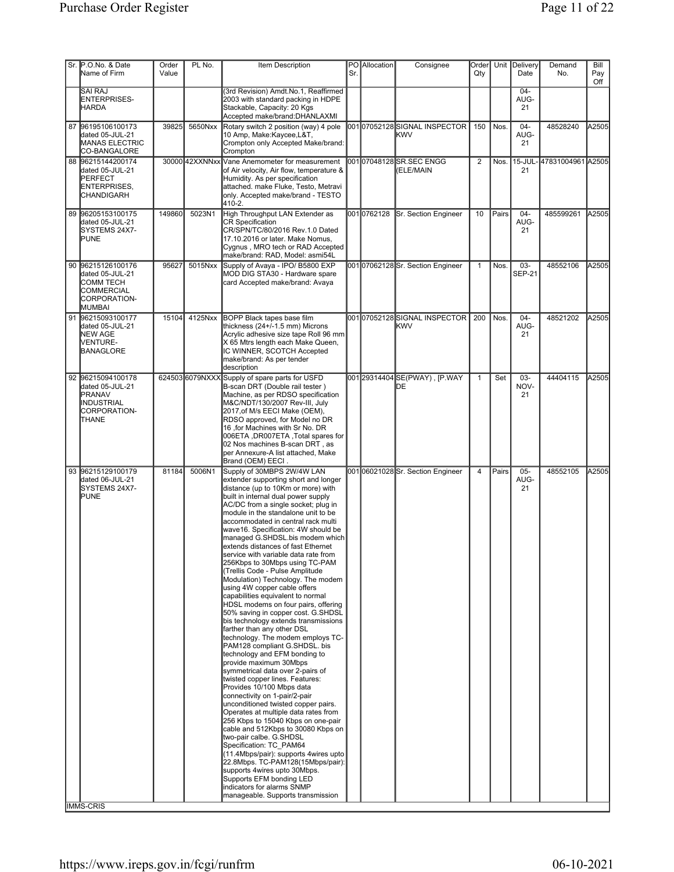| Sr. P.O.No. & Date<br>Name of Firm                                                                      | Order<br>Value | PL No.         | Item Description                                                                                                                                                                                                                                                                                                                                                                                                                                                                                                                                                                                                                                                                                                                                                                                                                                                                                                                                                                                                                                                                                                                                                                                                                                                                                                                                                                                                                                                  | Sr. | PO Allocation | Consignee                                  | Order<br>Qty   |       | Unit Delivery<br>Date | Demand<br>No.            | Bill<br>Pay<br>Off |
|---------------------------------------------------------------------------------------------------------|----------------|----------------|-------------------------------------------------------------------------------------------------------------------------------------------------------------------------------------------------------------------------------------------------------------------------------------------------------------------------------------------------------------------------------------------------------------------------------------------------------------------------------------------------------------------------------------------------------------------------------------------------------------------------------------------------------------------------------------------------------------------------------------------------------------------------------------------------------------------------------------------------------------------------------------------------------------------------------------------------------------------------------------------------------------------------------------------------------------------------------------------------------------------------------------------------------------------------------------------------------------------------------------------------------------------------------------------------------------------------------------------------------------------------------------------------------------------------------------------------------------------|-----|---------------|--------------------------------------------|----------------|-------|-----------------------|--------------------------|--------------------|
| <b>SAI RAJ</b><br>ENTERPRISES-<br><b>HARDA</b>                                                          |                |                | (3rd Revision) Amdt.No.1, Reaffirmed<br>2003 with standard packing in HDPE<br>Stackable, Capacity: 20 Kgs<br>Accepted make/brand:DHANLAXMI                                                                                                                                                                                                                                                                                                                                                                                                                                                                                                                                                                                                                                                                                                                                                                                                                                                                                                                                                                                                                                                                                                                                                                                                                                                                                                                        |     |               |                                            |                |       | 04-<br>AUG-<br>21     |                          |                    |
| 87 96195106100173<br>dated 05-JUL-21<br><b>MANAS ELECTRIC</b><br>CO-BANGALORE                           | 39825          | 5650Nxx        | Rotary switch 2 position (way) 4 pole<br>10 Amp, Make:Kaycee,L&T,<br>Crompton only Accepted Make/brand:<br>Crompton                                                                                                                                                                                                                                                                                                                                                                                                                                                                                                                                                                                                                                                                                                                                                                                                                                                                                                                                                                                                                                                                                                                                                                                                                                                                                                                                               |     |               | 00107052128SIGNAL INSPECTOR<br><b>IKWV</b> | 150            | Nos.  | $04 -$<br>AUG-<br>21  | 48528240                 | A2505              |
| 88 96215144200174<br>dated 05-JUL-21<br>PERFECT<br>ENTERPRISES,<br>CHANDIGARH                           |                | 30000 42XXNNxx | Vane Anemometer for measurement<br>of Air velocity, Air flow, temperature &<br>Humidity. As per specification<br>lattached. make Fluke. Testo. Metravi<br>only, Accepted make/brand - TESTO<br>410-2.                                                                                                                                                                                                                                                                                                                                                                                                                                                                                                                                                                                                                                                                                                                                                                                                                                                                                                                                                                                                                                                                                                                                                                                                                                                             |     |               | 00107048128SR.SEC ENGG<br>(ELE/MAIN        | $\overline{2}$ | Nos.  | 21                    | 15-JUL-47831004961 A2505 |                    |
| 89 96205153100175<br>dated 05-JUL-21<br>SYSTEMS 24X7-<br><b>PUNE</b>                                    | 149860         | 5023N1         | High Throughput LAN Extender as<br><b>CR Specification</b><br>CR/SPN/TC/80/2016 Rev.1.0 Dated<br>17.10.2016 or later. Make Nomus,<br>Cygnus, MRO tech or RAD Accepted<br>make/brand: RAD, Model: asmi54L                                                                                                                                                                                                                                                                                                                                                                                                                                                                                                                                                                                                                                                                                                                                                                                                                                                                                                                                                                                                                                                                                                                                                                                                                                                          |     | 0010762128    | <b>ISr. Section Engineer</b>               | 10             | Pairs | $04 -$<br>AUG-<br>21  | 485599261                | A2505              |
| 90 96215126100176<br>dated 05-JUL-21<br><b>COMM TECH</b><br><b>COMMERCIAL</b><br>CORPORATION-<br>MUMBAI | 95627          | 5015Nxx        | Supply of Avaya - IPO/ B5800 EXP<br>MOD DIG STA30 - Hardware spare<br>card Accepted make/brand: Avaya                                                                                                                                                                                                                                                                                                                                                                                                                                                                                                                                                                                                                                                                                                                                                                                                                                                                                                                                                                                                                                                                                                                                                                                                                                                                                                                                                             |     |               | 00107062128Sr. Section Engineer            | $\mathbf{1}$   | Nos.  | 03-<br><b>SEP-21</b>  | 48552106                 | A2505              |
| 91 96215093100177<br>dated 05-JUL-21<br>NEW AGE<br>VENTURE-<br>BANAGLORE                                | 15104          | 4125Nxx        | <b>BOPP Black tapes base film</b><br>thickness (24+/-1.5 mm) Microns<br>Acrylic adhesive size tape Roll 96 mm<br>X 65 Mtrs length each Make Queen.<br>IC WINNER, SCOTCH Accepted<br>make/brand: As per tender<br>description                                                                                                                                                                                                                                                                                                                                                                                                                                                                                                                                                                                                                                                                                                                                                                                                                                                                                                                                                                                                                                                                                                                                                                                                                                      |     |               | 00107052128SIGNAL INSPECTOR<br>kwv         | 200            | Nos.  | $04 -$<br>AUG-<br>21  | 48521202                 | A2505              |
| 92 96215094100178<br>dated 05-JUL-21<br>PRANAV<br>INDUSTRIAL<br>CORPORATION-<br><b>THANE</b>            |                |                | 624503 6079NXXX Supply of spare parts for USFD<br>B-scan DRT (Double rail tester)<br>Machine, as per RDSO specification<br>M&C/NDT/130/2007 Rev-III, July<br>2017, of M/s EECI Make (OEM),<br>RDSO approved, for Model no DR<br>16, for Machines with Sr No. DR<br>006ETA ,DR007ETA ,Total spares for<br>02 Nos machines B-scan DRT, as<br>per Annexure-A list attached, Make<br>Brand (OEM) EECI.                                                                                                                                                                                                                                                                                                                                                                                                                                                                                                                                                                                                                                                                                                                                                                                                                                                                                                                                                                                                                                                                |     |               | 001 29314404 SE(PWAY), [P.WAY<br>DE        | $\mathbf{1}$   | Set   | $03 -$<br>NOV-<br>21  | 44404115                 | A2505              |
| 93 96215129100179<br>dated 06-JUL-21<br>SYSTEMS 24X7-<br><b>PUNE</b><br><b>IMMS-CRIS</b>                | 81184          | 5006N1         | Supply of 30MBPS 2W/4W LAN<br>extender supporting short and longer<br>distance (up to 10Km or more) with<br>built in internal dual power supply<br>AC/DC from a single socket; plug in<br>module in the standalone unit to be<br>accommodated in central rack multi<br>wave16. Specification: 4W should be<br>managed G.SHDSL.bis modem which<br>extends distances of fast Ethernet<br>service with variable data rate from<br>256Kbps to 30Mbps using TC-PAM<br>(Trellis Code - Pulse Amplitude<br>Modulation) Technology. The modem<br>using 4W copper cable offers<br>capabilities equivalent to normal<br>HDSL modems on four pairs, offering<br>50% saving in copper cost. G.SHDSL<br>bis technology extends transmissions<br>farther than any other DSL<br>technology. The modem employs TC-<br>PAM128 compliant G.SHDSL. bis<br>technology and EFM bonding to<br>provide maximum 30Mbps<br>symmetrical data over 2-pairs of<br>twisted copper lines. Features:<br>Provides 10/100 Mbps data<br>connectivity on 1-pair/2-pair<br>unconditioned twisted copper pairs.<br>Operates at multiple data rates from<br>256 Kbps to 15040 Kbps on one-pair<br>cable and 512Kbps to 30080 Kbps on<br>two-pair calbe. G.SHDSL<br>Specification: TC PAM64<br>(11.4Mbps/pair): supports 4wires upto<br>22.8Mbps. TC-PAM128(15Mbps/pair):<br>supports 4wires upto 30Mbps.<br>Supports EFM bonding LED<br>indicators for alarms SNMP<br>manageable. Supports transmission |     |               | 00106021028Sr. Section Engineer            | $\overline{4}$ | Pairs | $05 -$<br>AUG-<br>21  | 48552105                 | A2505              |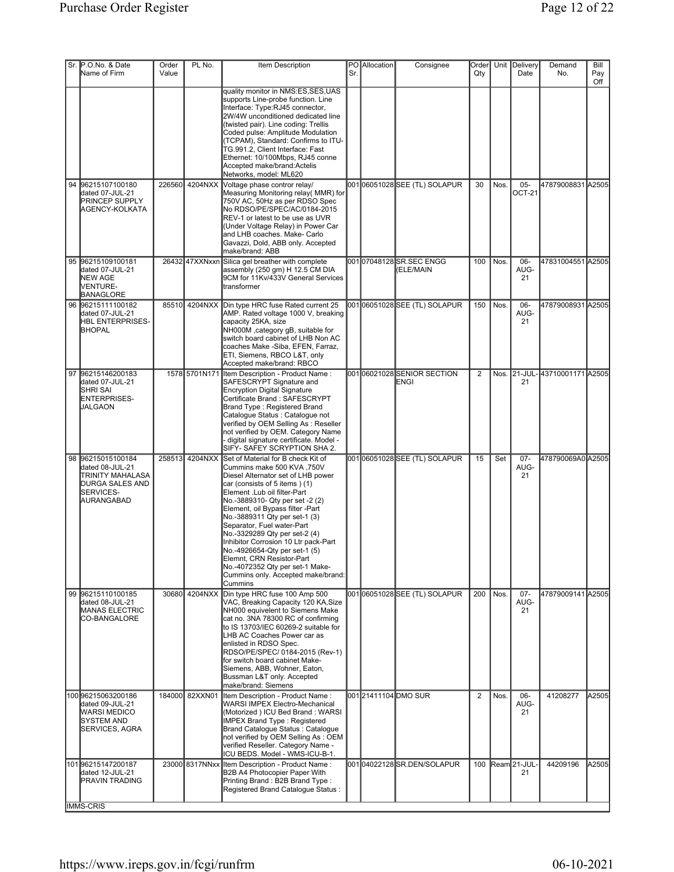| Sr. P.O.No. & Date<br>Name of Firm                                                                            | Order<br>Value | PL No.         | Item Description                                                                                                                                                                                                                                                                                                                                                                                                                                                                                                                         | Sr. | PO Allocation | Consignee                           | Order<br>Qty   |               | Unit Delivery<br>Date   | Demand<br>No.                 | Bill<br>Pay<br>Off |
|---------------------------------------------------------------------------------------------------------------|----------------|----------------|------------------------------------------------------------------------------------------------------------------------------------------------------------------------------------------------------------------------------------------------------------------------------------------------------------------------------------------------------------------------------------------------------------------------------------------------------------------------------------------------------------------------------------------|-----|---------------|-------------------------------------|----------------|---------------|-------------------------|-------------------------------|--------------------|
|                                                                                                               |                |                | quality monitor in NMS:ES.SES.UAS<br>supports Line-probe function. Line<br>Interface: Type:RJ45 connector,<br>2W/4W unconditioned dedicated line<br>(twisted pair). Line coding: Trellis<br>Coded pulse: Amplitude Modulation<br>(TCPAM), Standard: Confirms to ITU-<br>TG.991.2, Client Interface: Fast<br>Ethernet: 10/100Mbps, RJ45 conne<br>Accepted make/brand: Actelis<br>Networks, model: ML620                                                                                                                                   |     |               |                                     |                |               |                         |                               |                    |
| 94 96215107100180<br>dated 07-JUL-21<br><b>PRINCEP SUPPLY</b><br>AGENCY-KOLKATA                               | 226560         | 4204NXX        | Voltage phase contror relay/<br>Measuring Monitoring relay( MMR) for<br>750V AC, 50Hz as per RDSO Spec<br>No RDSO/PE/SPEC/AC/0184-2015<br>REV-1 or latest to be use as UVR<br>(Under Voltage Relay) in Power Car<br>and LHB coaches. Make- Carlo<br>Gavazzi, Dold, ABB only. Accepted<br>make/brand: ABB                                                                                                                                                                                                                                 |     |               | 00106051028SEE (TL) SOLAPUR         | 30             | Nos.          | $05 -$<br><b>OCT-21</b> | 47879008831 A2505             |                    |
| 95 96215109100181<br>dated 07-JUL-21<br>NEW AGE<br>VENTURE-<br>BANAGLORE                                      |                | 26432 47XXNxxn | Silica gel breather with complete<br>assembly (250 gm) H 12.5 CM DIA<br>9CM for 11Kv/433V General Services<br>transformer                                                                                                                                                                                                                                                                                                                                                                                                                |     |               | 00107048128SR.SEC ENGG<br>(ELE/MAIN | 100            | Nos.          | 06-<br>AUG-<br>21       | 47831004551 A2505             |                    |
| 96 96215111100182<br>dated 07-JUL-21<br><b>HBL ENTERPRISES-</b><br><b>BHOPAL</b>                              | 85510          | 4204NXX        | Din type HRC fuse Rated current 25<br>AMP. Rated voltage 1000 V, breaking<br>capacity 25KA, size<br>NH000M, category gB, suitable for<br>switch board cabinet of LHB Non AC<br>coaches Make -Siba, EFEN, Farraz,<br>ETI, Siemens, RBCO L&T, only<br>Accepted make/brand: RBCO                                                                                                                                                                                                                                                            |     |               | 00106051028SEE (TL) SOLAPUR         | 150            | Nos.          | 06-<br>AUG-<br>21       | 47879008931 A2505             |                    |
| 97 96215146200183<br>dated 07-JUL-21<br><b>SHRI SAI</b><br>ENTERPRISES-<br><b>JALGAON</b>                     |                | 1578 5701N171  | Item Description - Product Name:<br>SAFESCRYPT Signature and<br>Encryption Digital Signature<br>Certificate Brand: SAFESCRYPT<br>Brand Type: Registered Brand<br>Catalogue Status : Catalogue not<br>verified by OEM Selling As: Reseller<br>not verified by OEM. Category Name<br>digital signature certificate. Model -<br>SIFY- SAFEY SCRYPTION SHA 2.                                                                                                                                                                                |     |               | 001 06021028 SENIOR SECTION<br>ENGI | $\overline{2}$ |               | 21                      | Nos. 21-JUL-43710001171 A2505 |                    |
| 98 96215015100184<br>dated 08-JUL-21<br>TRINITY MAHALASA<br>DURGA SALES AND<br><b>SERVICES-</b><br>AURANGABAD |                | 258513 4204NXX | Set of Material for B check Kit of<br>Cummins make 500 KVA, 750V<br>Diesel Alternator set of LHB power<br>car (consists of 5 items) (1)<br>Element .Lub oil filter-Part<br>No.-3889310- Qty per set -2 (2)<br>Element, oil Bypass filter -Part<br>No.-3889311 Qty per set-1 (3)<br>Separator, Fuel water-Part<br>No.-3329289 Qty per set-2 (4)<br>Inhibitor Corrosion 10 Ltr pack-Part<br>No.-4926654-Qty per set-1 (5)<br>Elemnt, CRN Resistor-Part<br>No.-4072352 Qty per set-1 Make-<br>Cummins only. Accepted make/brand:<br>Cummins |     |               | 00106051028SEE (TL) SOLAPUR         | 15             | Set           | $07 -$<br>AUG-<br>21    | 478790069A0 A2505             |                    |
| 99 96215110100185<br>dated 08-JUL-21<br><b>MANAS ELECTRIC</b><br><b>ICO-BANGALORE</b>                         | 30680          | 4204NXX        | Din type HRC fuse 100 Amp 500<br>VAC, Breaking Capacity 120 KA, Size<br>NH000 equivelent to Siemens Make<br>cat no. 3NA 78300 RC of confirming<br>to IS 13703/IEC 60269-2 suitable for<br>LHB AC Coaches Power car as<br>enlisted in RDSO Spec.<br>RDSO/PE/SPEC/ 0184-2015 (Rev-1)<br>for switch board cabinet Make-<br>Siemens, ABB, Wohner, Eaton,<br>Bussman L&T only. Accepted<br>make/brand: Siemens                                                                                                                                |     |               | 00106051028SEE (TL) SOLAPUR         | 200            | <b>I</b> Nos. | $07 -$<br>AUG-<br>21    | 47879009141 A2505             |                    |
| 100 96215063200186<br>dated 09-JUL-21<br><b>WARSI MEDICO</b><br>SYSTEM AND<br><b>SERVICES, AGRA</b>           | 184000         | 82XXN01        | Item Description - Product Name:<br>WARSI IMPEX Electro-Mechanical<br>(Motorized) ICU Bed Brand: WARSI<br>IMPEX Brand Type: Registered<br>Brand Catalogue Status: Catalogue<br>not verified by OEM Selling As: OEM<br>verified Reseller. Category Name -<br>ICU BEDS. Model - WMS-ICU-B-1.                                                                                                                                                                                                                                               |     |               | 001 21411104 DMO SUR                | $\overline{2}$ | Nos.          | $06 -$<br>AUG-<br>21    | 41208277                      | A2505              |
| 101 96215147200187<br>dated 12-JUL-21<br><b>PRAVIN TRADING</b><br><b>IMMS-CRIS</b>                            |                | 23000 8317NNxx | Item Description - Product Name:<br>B2B A4 Photocopier Paper With<br>Printing Brand: B2B Brand Type:<br>Registered Brand Catalogue Status:                                                                                                                                                                                                                                                                                                                                                                                               |     |               | 00104022128SR.DEN/SOLAPUR           | 100            |               | Ream 21-JUL-<br>21      | 44209196                      | A2505              |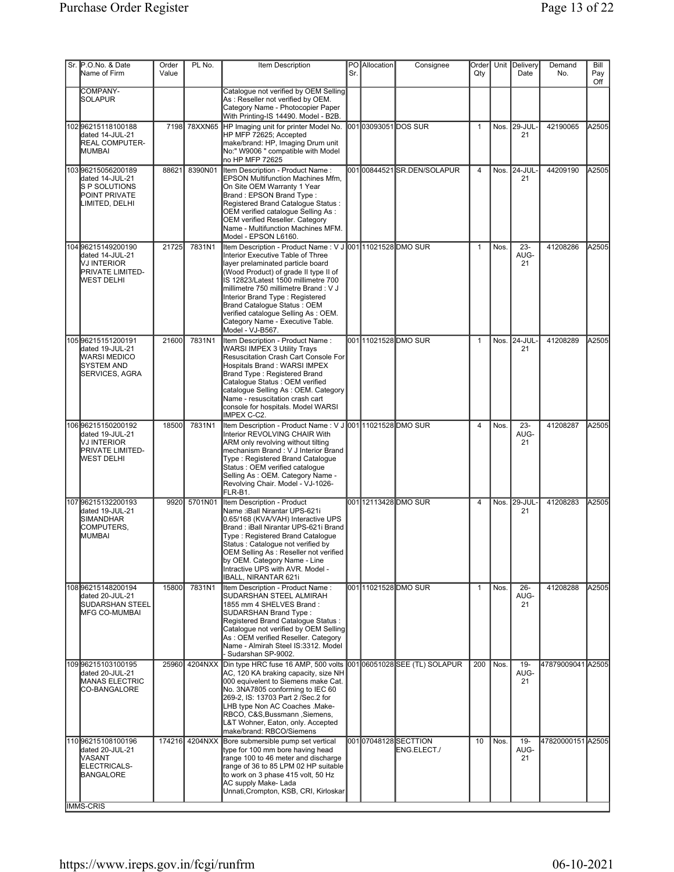| Sr. P.O.No. & Date<br>Name of Firm                                                                          | Order<br>Value | PL No.         | Item Description                                                                                                                                                                                                                                                                                                                                                                                                               | Sr. | PO Allocation | Consignee                          | Order<br>Qty   |        | Unit Delivery<br>Date | Demand<br>No.     | Bill<br>Pay |
|-------------------------------------------------------------------------------------------------------------|----------------|----------------|--------------------------------------------------------------------------------------------------------------------------------------------------------------------------------------------------------------------------------------------------------------------------------------------------------------------------------------------------------------------------------------------------------------------------------|-----|---------------|------------------------------------|----------------|--------|-----------------------|-------------------|-------------|
| COMPANY-<br><b>SOLAPUR</b>                                                                                  |                |                | Catalogue not verified by OEM Selling<br>As: Reseller not verified by OEM.<br>Category Name - Photocopier Paper<br>With Printing-IS 14490. Model - B2B.                                                                                                                                                                                                                                                                        |     |               |                                    |                |        |                       |                   | Off         |
| 102 96215118100188<br>dated 14-JUL-21<br><b>REAL COMPUTER-</b><br><b>MUMBAI</b>                             | 7198           | 78XXN65        | HP Imaging unit for printer Model No.<br>HP MFP 72625; Accepted<br>make/brand: HP, Imaging Drum unit<br>No:" W9006 " compatible with Model<br>no HP MFP 72625                                                                                                                                                                                                                                                                  |     |               | 00103093051DOS SUR                 | 1              | Nos.   | <b>29-JUL</b><br>21   | 42190065          | A2505       |
| 10396215056200189<br>dated 14-JUL-21<br><b>S P SOLUTIONS</b><br><b>POINT PRIVATE</b><br>LIMITED, DELHI      | 88621          | 8390N01        | Item Description - Product Name:<br><b>EPSON Multifunction Machines Mfm,</b><br>On Site OEM Warranty 1 Year<br>Brand: EPSON Brand Type:<br>Registered Brand Catalogue Status:<br>OEM verified catalogue Selling As:<br>OEM verified Reseller. Category<br>Name - Multifunction Machines MFM.<br>Model - EPSON L6160.                                                                                                           |     |               | 00100844521SR.DEN/SOLAPUR          | $\overline{4}$ |        | Nos. 24-JUL-<br>21    | 44209190          | A2505       |
| 104 96215149200190<br>dated 14-JUL-21<br><b>NJ INTERIOR</b><br>PRIVATE LIMITED-<br>WEST DELHI               | 21725          | 7831N1         | Item Description - Product Name : V J 001 11021528 DMO SUR<br>Interior Executive Table of Three<br>layer prelaminated particle board<br>(Wood Product) of grade II type II of<br>IS 12823/Latest 1500 millimetre 700<br>millimetre 750 millimetre Brand : V J<br>Interior Brand Type: Registered<br>Brand Catalogue Status: OEM<br>verified cataloque Selling As: OEM.<br>Category Name - Executive Table.<br>Model - VJ-B567. |     |               |                                    | $\mathbf{1}$   | Nos.   | $23 -$<br>AUG-<br>21  | 41208286          | A2505       |
| 10596215151200191<br>dated 19-JUL-21<br><b>WARSI MEDICO</b><br><b>SYSTEM AND</b><br><b>SERVICES, AGRA</b>   | 21600          | 7831N1         | Item Description - Product Name:<br>WARSI IMPEX 3 Utility Trays<br>Resuscitation Crash Cart Console For<br>Hospitals Brand: WARSI IMPEX<br>Brand Type: Registered Brand<br>Catalogue Status : OEM verified<br>catalogue Selling As: OEM. Category<br>Name - resuscitation crash cart<br>console for hospitals. Model WARSI<br>IMPEX C-C2.                                                                                      |     |               | 00111021528DMOSUR                  | $\mathbf{1}$   |        | Nos. 24-JUL-<br>21    | 41208289          | A2505       |
| 106 96215150200192<br>dated 19-JUL-21<br><b>VJ INTERIOR</b><br><b>PRIVATE LIMITED-</b><br><b>WEST DELHI</b> | 18500          | 7831N1         | Item Description - Product Name : V J 001 11021528 DMO SUR<br>Interior REVOLVING CHAIR With<br>ARM only revolving without tilting<br>mechanism Brand: V J Interior Brand<br>Type: Registered Brand Catalogue<br>Status: OEM verified catalogue<br>Selling As: OEM. Category Name -<br>Revolving Chair. Model - VJ-1026-<br>FLR-B1.                                                                                             |     |               |                                    | 4              | Nos.   | $23 -$<br>AUG-<br>21  | 41208287          | A2505       |
| 107 96215132200193<br>dated 19-JUL-21<br><b>SIMANDHAR</b><br>COMPUTERS,<br><b>MUMBAI</b>                    | 9920           | 5701N01        | <b>Item Description - Product</b><br>Name :iBall Nirantar UPS-621i<br>0.65/168 (KVA/VAH) Interactive UPS<br>Brand: iBall Nirantar UPS-621i Brand<br>Type: Registered Brand Catalogue<br>Status : Catalogue not verified by<br>OEM Selling As : Reseller not verified<br>by OEM. Category Name - Line<br>Intractive UPS with AVR. Model -<br>IBALL, NIRANTAR 621i                                                               |     |               | 00112113428 DMO SUR                | 4              | Nos. I | 29-JUL<br>21          | 41208283          | A2505       |
| 10896215148200194<br>dated 20-JUL-21<br><b>SUDARSHAN STEEL</b><br><b>MFG CO-MUMBAI</b>                      | 15800          | 7831N1         | Item Description - Product Name:<br>SUDARSHAN STEEL ALMIRAH<br>1855 mm 4 SHELVES Brand:<br><b>SUDARSHAN Brand Type:</b><br>Registered Brand Catalogue Status :<br>Catalogue not verified by OEM Selling<br>As: OEM verified Reseller. Category<br>Name - Almirah Steel IS:3312. Model<br>- Sudarshan SP-9002.                                                                                                                  |     |               | 001 11021528 DMO SUR               | $\mathbf{1}$   | Nos.   | $26 -$<br>AUG-<br>21  | 41208288          | A2505       |
| 109996215103100195<br>dated 20-JUL-21<br><b>MANAS ELECTRIC</b><br>CO-BANGALORE                              |                | 25960 4204NXX  | Din type HRC fuse 16 AMP, 500 volts<br>AC, 120 KA braking capacity, size NH<br>000 equivelent to Siemens make Cat.<br>No. 3NA7805 conforming to IEC 60<br>269-2, IS: 13703 Part 2 / Sec. 2 for<br>LHB type Non AC Coaches .Make-<br>RBCO, C&S, Bussmann, Siemens,<br>L&T Wohner, Eaton, only. Accepted<br>make/brand: RBCO/Siemens                                                                                             |     |               | 00106051028SEE (TL) SOLAPUR        | 200            | Nos.   | $19 -$<br>AUG-<br>21  | 47879009041 A2505 |             |
| 11096215108100196<br>dated 20-JUL-21<br><b>VASANT</b><br>ELECTRICALS-<br>BANGALORE                          |                | 174216 4204NXX | Bore submersible pump set vertical<br>type for 100 mm bore having head<br>range 100 to 46 meter and discharge<br>range of 36 to 85 LPM 02 HP suitable<br>to work on 3 phase 415 volt, 50 Hz<br>AC supply Make-Lada<br>Unnati, Crompton, KSB, CRI, Kirloskar                                                                                                                                                                    |     |               | 00107048128SECTTION<br>ENG.ELECT./ | 10             | Nos.   | $19 -$<br>AUG-<br>21  | 47820000151 A2505 |             |
| <b>IMMS-CRIS</b>                                                                                            |                |                |                                                                                                                                                                                                                                                                                                                                                                                                                                |     |               |                                    |                |        |                       |                   |             |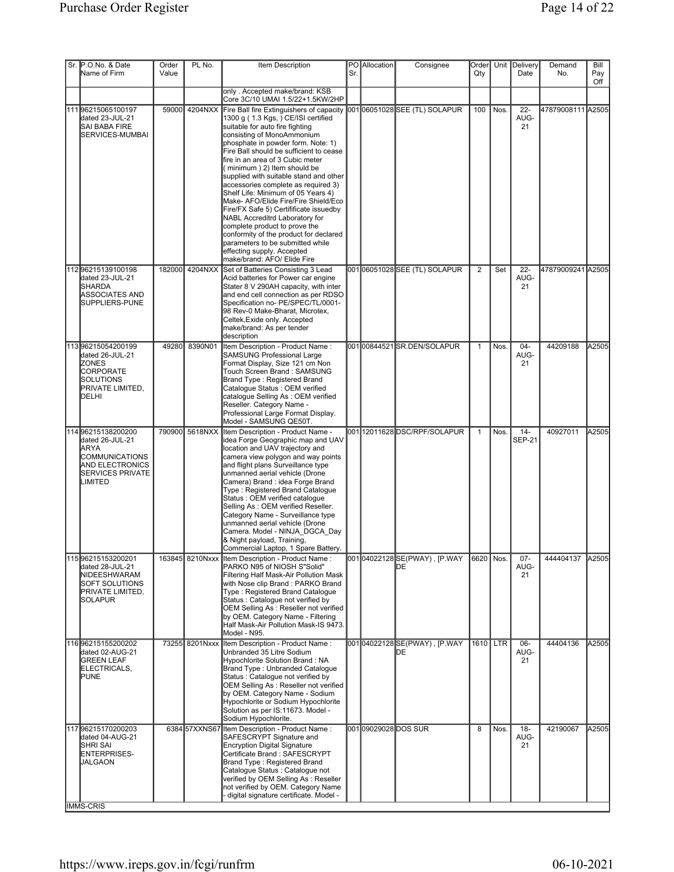| Sr. P.O.No. & Date<br>Name of Firm                                                                                                      | Order<br>Value | PL No.         | Item Description                                                                                                                                                                                                                                                                                                                                                                                                                                                                                                                                                                                                                                                                                                                                                        | Sr. | PO Allocation               | Consignee                            | Order<br>Qty   |      | Unit Delivery<br>Date   | Demand<br>No.     | Bill<br>Pay<br>Off |
|-----------------------------------------------------------------------------------------------------------------------------------------|----------------|----------------|-------------------------------------------------------------------------------------------------------------------------------------------------------------------------------------------------------------------------------------------------------------------------------------------------------------------------------------------------------------------------------------------------------------------------------------------------------------------------------------------------------------------------------------------------------------------------------------------------------------------------------------------------------------------------------------------------------------------------------------------------------------------------|-----|-----------------------------|--------------------------------------|----------------|------|-------------------------|-------------------|--------------------|
|                                                                                                                                         |                |                | only . Accepted make/brand: KSB<br>Core 3C/10 UMAI 1.5/22+1.5KW/2HP                                                                                                                                                                                                                                                                                                                                                                                                                                                                                                                                                                                                                                                                                                     |     |                             |                                      |                |      |                         |                   |                    |
| 111 96215065100197<br>dated 23-JUL-21<br>SAI BABA FIRE<br>SERVICES-MUMBAI                                                               |                |                | 59000 4204NXX Fire Ball fire Extinguishers of capacity 001 06051028 SEE (TL) SOLAPUR<br>1300 g (1.3 Kgs, ) CE/ISI certified<br>suitable for auto fire fighting<br>consisting of MonoAmmonium<br>phosphate in powder form. Note: 1)<br>Fire Ball should be sufficient to cease<br>fire in an area of 3 Cubic meter<br>(minimum) 2) Item should be<br>supplied with suitable stand and other<br>accessories complete as required 3)<br>Shelf Life: Minimum of 05 Years 4)<br>Make- AFO/Elide Fire/Fire Shield/Eco<br>Fire/FX Safe 5) Certifificate issuedby<br>NABL Accreditrd Laboratory for<br>complete product to prove the<br>conformity of the product for declared<br>parameters to be submitted while<br>effecting supply. Accepted<br>make/brand: AFO/ Elide Fire |     |                             |                                      | 100            | Nos. | $22 -$<br>AUG-<br>21    | 47879008111 A2505 |                    |
| 11296215139100198<br>dated 23-JUL-21<br><b>SHARDA</b><br>ASSOCIATES AND<br>SUPPLIERS-PUNE                                               | 182000         | 4204NXX        | Set of Batteries Consisting 3 Lead<br>Acid batteries for Power car engine<br>Stater 8 V 290AH capacity, with inter<br>and end cell connection as per RDSO<br>Specification no- PE/SPEC/TL/0001-<br>98 Rev-0 Make-Bharat, Microtex,<br>Celtek, Exide only. Accepted<br>make/brand: As per tender<br>description                                                                                                                                                                                                                                                                                                                                                                                                                                                          |     |                             | 00106051028SEE (TL) SOLAPUR          | $\overline{2}$ | Set  | $22 -$<br>AUG-<br>21    | 47879009241 A2505 |                    |
| 113 96215054200199<br>dated 26-JUL-21<br><b>ZONES</b><br><b>CORPORATE</b><br>SOLUTIONS<br><b>PRIVATE LIMITED,</b><br>DELHI              | 49280          | 8390N01        | Item Description - Product Name:<br><b>SAMSUNG Professional Large</b><br>Format Display, Size 121 cm Non<br>Touch Screen Brand: SAMSUNG<br>Brand Type: Registered Brand<br>Catalogue Status : OEM verified<br>catalogue Selling As: OEM verified<br>Reseller. Category Name -<br>Professional Large Format Display.<br>Model - SAMSUNG QE50T.                                                                                                                                                                                                                                                                                                                                                                                                                           |     |                             | 00100844521SR.DEN/SOLAPUR            | $\mathbf{1}$   | Nos. | $04 -$<br>AUG-<br>21    | 44209188          | A2505              |
| 114 96215138200200<br>dated 26-JUL-21<br><b>JARYA</b><br>COMMUNICATIONS<br><b>AND ELECTRONICS</b><br><b>SERVICES PRIVATE</b><br>LIMITED | 790900         | 5618NXX        | Item Description - Product Name -<br>idea Forge Geographic map and UAV<br>location and UAV trajectory and<br>camera view polygon and way points<br>and flight plans Surveillance type<br>unmanned aerial vehicle (Drone<br>Camera) Brand : idea Forge Brand<br>Type: Registered Brand Catalogue<br>Status : OEM verified catalogue<br>Selling As: OEM verified Reseller.<br>Category Name - Surveillance type<br>unmanned aerial vehicle (Drone<br>Camera. Model - NINJA DGCA Day<br>& Night payload, Training,<br>Commercial Laptop, 1 Spare Battery.                                                                                                                                                                                                                  |     |                             | 00112011628DSC/RPF/SOLAPUR           | $\mathbf{1}$   | Nos. | $14 -$<br><b>SEP-21</b> | 40927011          | A2505              |
| 11596215153200201<br>dated 28-JUL-21<br>NIDEESHWARAM<br><b>SOFT SOLUTIONS</b><br>PRIVATE LIMITED,<br>SOLAPUR                            |                |                | 163845 8210Nxxx Item Description - Product Name:<br>PARKO N95 of NIOSH S"Solid"<br>Filtering Half Mask-Air Pollution Mask<br>with Nose clip Brand : PARKO Brand<br>Type: Registered Brand Catalogue<br>Status: Catalogue not verified by<br>OEM Selling As: Reseller not verified<br>by OEM. Category Name - Filtering<br>Half Mask-Air Pollution Mask-IS 9473.<br>Model - N95.                                                                                                                                                                                                                                                                                                                                                                                         |     |                             | 00104022128SE(PWAY), [P.WAY<br>IDE.  | 6620 Nos.      |      | $07 -$<br>AUG-<br>21    | 444404137         | A2505              |
| 11696215155200202<br>dated 02-AUG-21<br><b>GREEN LEAF</b><br>ELECTRICALS,<br><b>PUNE</b>                                                |                | 73255 8201Nxxx | Item Description - Product Name :<br>Unbranded 35 Litre Sodium<br>Hypochlorite Solution Brand: NA<br>Brand Type: Unbranded Catalogue<br>Status : Catalogue not verified by<br>OEM Selling As : Reseller not verified<br>by OEM. Category Name - Sodium<br>Hypochlorite or Sodium Hypochlorite<br>Solution as per IS:11673. Model -<br>Sodium Hypochlorite.                                                                                                                                                                                                                                                                                                                                                                                                              |     |                             | 001 04022128 SE(PWAY), [P.WAY<br>IDЕ | 1610 LTR       |      | $06 -$<br>AUG-<br>21    | 44404136          | A2505              |
| 11796215170200203<br>dated 04-AUG-21<br>Ishri sai<br>ENTERPRISES-<br><b>JALGAON</b><br><b>IMMS-CRIS</b>                                 |                |                | 6384 57XXNS67 Item Description - Product Name:<br>SAFESCRYPT Signature and<br>Encryption Digital Signature<br>Certificate Brand: SAFESCRYPT<br>Brand Type: Registered Brand<br>Catalogue Status : Catalogue not<br>verified by OEM Selling As: Reseller<br>not verified by OEM. Category Name<br>digital signature certificate. Model -                                                                                                                                                                                                                                                                                                                                                                                                                                 |     | 001 <b>0</b> 9029028DOS SUR |                                      | 8              | Nos. | $18 -$<br>AUG-<br>21    | 42190067          | A2505              |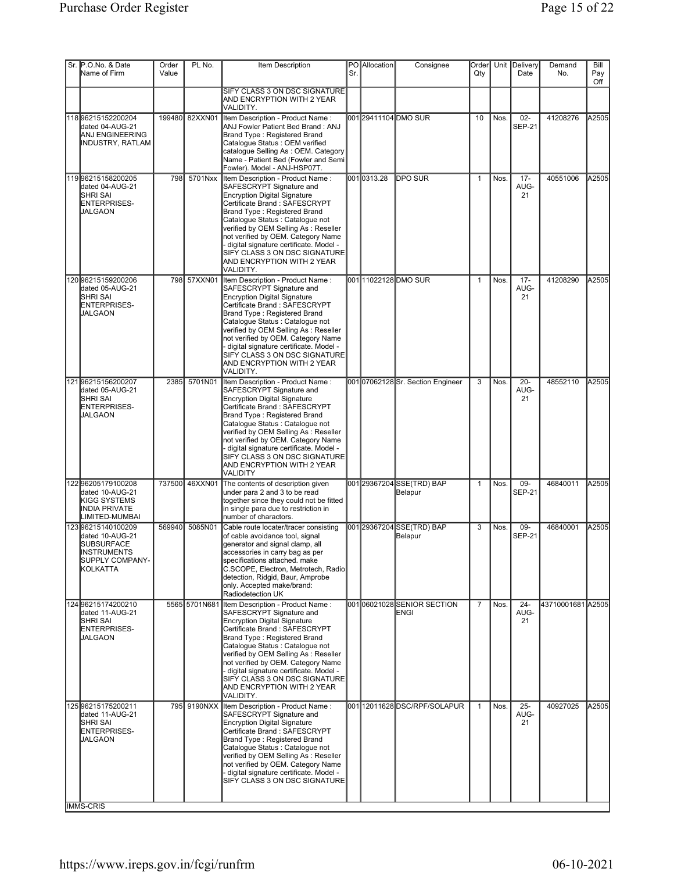| Sr. P.O.No. & Date<br>Name of Firm                                                                             | Order<br>Value | PL No.         | Item Description                                                                                                                                                                                                                                                                                                                                                                                                   | Sr. | PO Allocation | Consignee                            | Order<br>Qty   |      | Unit Delivery<br>Date   | Demand<br>No.     | Bill<br>Pay<br>Off |
|----------------------------------------------------------------------------------------------------------------|----------------|----------------|--------------------------------------------------------------------------------------------------------------------------------------------------------------------------------------------------------------------------------------------------------------------------------------------------------------------------------------------------------------------------------------------------------------------|-----|---------------|--------------------------------------|----------------|------|-------------------------|-------------------|--------------------|
|                                                                                                                |                |                | SIFY CLASS 3 ON DSC SIGNATURE<br>AND ENCRYPTION WITH 2 YEAR<br>VALIDITY.                                                                                                                                                                                                                                                                                                                                           |     |               |                                      |                |      |                         |                   |                    |
| 11896215152200204<br>dated 04-AUG-21<br>ANJ ENGINEERING<br>INDUSTRY, RATLAM                                    |                | 199480 82XXN01 | Item Description - Product Name:<br>ANJ Fowler Patient Bed Brand: ANJ<br>Brand Type: Registered Brand<br>Catalogue Status : OEM verified<br>catalogue Selling As: OEM. Category<br>Name - Patient Bed (Fowler and Semi<br>Fowler). Model - ANJ-HSP07T.                                                                                                                                                             |     |               | 001 29411104 DMO SUR                 | 10             | Nos. | $02 -$<br><b>SEP-21</b> | 41208276          | A2505              |
| 11996215158200205<br>dated 04-AUG-21<br><b>SHRI SAI</b><br>ENTERPRISES-<br>JALGAON                             | 798            | 5701Nxx        | Item Description - Product Name:<br>SAFESCRYPT Signature and<br>Encryption Digital Signature<br>Certificate Brand: SAFESCRYPT<br>Brand Type: Registered Brand<br>Catalogue Status : Catalogue not<br>verified by OEM Selling As: Reseller<br>not verified by OEM. Category Name<br>- digital signature certificate. Model -<br>SIFY CLASS 3 ON DSC SIGNATURE<br>AND ENCRYPTION WITH 2 YEAR<br>VALIDITY.            |     | 0010313.28    | <b>DPO SUR</b>                       | 1              | Nos. | $17 -$<br>AUG-<br>21    | 40551006          | A2505              |
| 12096215159200206<br>dated 05-AUG-21<br><b>SHRI SAI</b><br>ENTERPRISES-<br>JALGAON                             |                | 798 57XXN01    | Item Description - Product Name:<br>SAFESCRYPT Signature and<br><b>Encryption Digital Signature</b><br>Certificate Brand: SAFESCRYPT<br>Brand Type: Registered Brand<br>Catalogue Status : Catalogue not<br>verified by OEM Selling As: Reseller<br>not verified by OEM. Category Name<br>- digital signature certificate. Model -<br>SIFY CLASS 3 ON DSC SIGNATURE<br>AND ENCRYPTION WITH 2 YEAR<br>VALIDITY.     |     |               | 00111022128DMO SUR                   | $\mathbf{1}$   | Nos. | $17 -$<br>AUG-<br>21    | 41208290          | A2505              |
| 12196215156200207<br>dated 05-AUG-21<br><b>SHRI SAI</b><br>ENTERPRISES-<br>JALGAON                             | 2385           | 5701N01        | Item Description - Product Name:<br>SAFESCRYPT Signature and<br><b>Encryption Digital Signature</b><br>Certificate Brand: SAFESCRYPT<br>Brand Type: Registered Brand<br>Catalogue Status : Catalogue not<br>verified by OEM Selling As: Reseller<br>not verified by OEM. Category Name<br>digital signature certificate. Model -<br>SIFY CLASS 3 ON DSC SIGNATURE<br>AND ENCRYPTION WITH 2 YEAR<br><b>VALIDITY</b> |     |               | 00107062128Sr. Section Engineer      | 3              | Nos. | $20 -$<br>AUG-<br>21    | 48552110          | A2505              |
| 122 96205179100208<br>dated 10-AUG-21<br>KIGG SYSTEMS<br><b>INDIA PRIVATE</b><br>LIMITED-MUMBAI                | 737500         | 46XXN01        | The contents of description given<br>under para 2 and 3 to be read<br>together since they could not be fitted<br>in single para due to restriction in<br>number of charactors.                                                                                                                                                                                                                                     |     |               | 001 29367204 SSE(TRD) BAP<br>Belapur | $\mathbf{1}$   | Nos. | 09-<br><b>SEP-21</b>    | 46840011          | A2505              |
| 12396215140100209<br>dated 10-AUG-21<br><b>SUBSURFACE</b><br><b>INSTRUMENTS</b><br>SUPPLY COMPANY-<br>KOLKATTA | 569940         | 5085N01        | Cable route locater/tracer consisting<br>of cable avoidance tool, signal<br>generator and signal clamp, all<br>accessories in carry bag as per<br>specifications attached. make<br>C.SCOPE, Electron, Metrotech, Radio<br>detection, Ridgid, Baur, Amprobe<br>only. Accepted make/brand:<br>Radiodetection UK                                                                                                      |     |               | 001 29367204 SSE(TRD) BAP<br>Belapur | 3              | Nos. | 09-<br><b>SEP-21</b>    | 46840001          | A2505              |
| 124 96215174200210<br>dated 11-AUG-21<br>Ishri sai<br>ENTERPRISES-<br><b>JALGAON</b>                           |                | 5565 5701N681  | Item Description - Product Name:<br>SAFESCRYPT Signature and<br><b>Encryption Digital Signature</b><br>Certificate Brand: SAFESCRYPT<br>Brand Type: Registered Brand<br>Catalogue Status : Catalogue not<br>verified by OEM Selling As: Reseller<br>not verified by OEM. Category Name<br>- digital signature certificate. Model -<br>SIFY CLASS 3 ON DSC SIGNATURE<br>AND ENCRYPTION WITH 2 YEAR<br>VALIDITY.     |     |               | 00106021028SENIOR SECTION<br>ENGI    | $\overline{7}$ | Nos. | $24 -$<br>AUG-<br>21    | 43710001681 A2505 |                    |
| 12596215175200211<br>dated 11-AUG-21<br><b>SHRI SAI</b><br>ENTERPRISES-<br><b>JALGAON</b>                      |                | 795 9190NXX    | Item Description - Product Name:<br>SAFESCRYPT Signature and<br><b>Encryption Digital Signature</b><br>Certificate Brand: SAFESCRYPT<br>Brand Type: Registered Brand<br>Catalogue Status : Catalogue not<br>verified by OEM Selling As: Reseller<br>not verified by OEM. Category Name<br>- digital signature certificate. Model -<br>SIFY CLASS 3 ON DSC SIGNATURE                                                |     |               | 001 12011628 DSC/RPF/SOLAPUR         | $\mathbf{1}$   | Nos. | $25 -$<br>AUG-<br>21    | 40927025          | A2505              |
| <b>IMMS-CRIS</b>                                                                                               |                |                |                                                                                                                                                                                                                                                                                                                                                                                                                    |     |               |                                      |                |      |                         |                   |                    |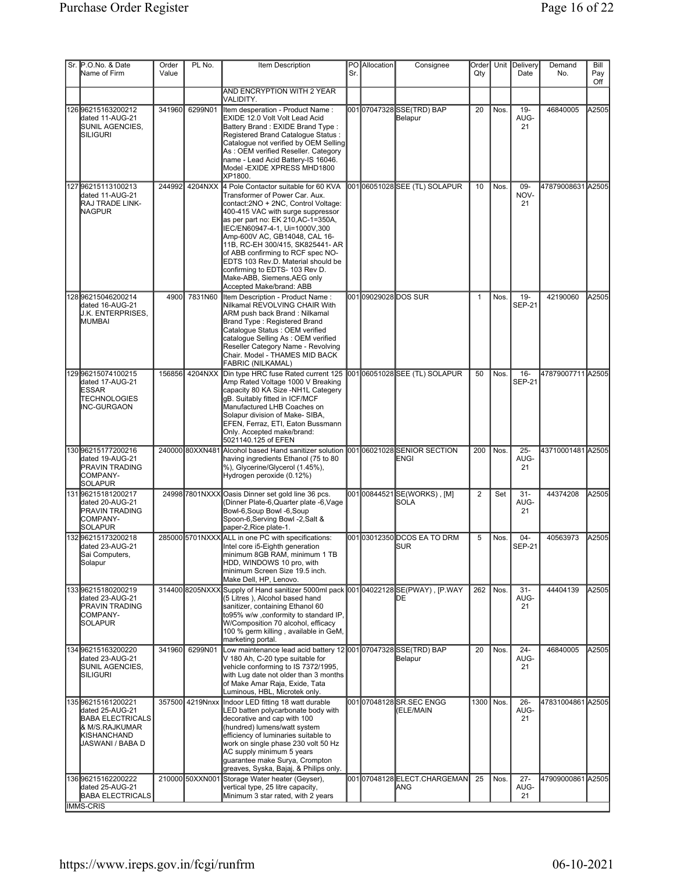| Sr. P.O.No. & Date<br>Name of Firm                                                                                   | Order<br>Value | PL No.          | Item Description                                                                                                                                                                                                                                                                                                                                                                                                                                                       | Sr. | PO Allocation | Consignee                                                   | Order<br>Qty   |      | Unit Delivery<br>Date   | Demand<br>No.     | Bill<br>Pay<br>Off |
|----------------------------------------------------------------------------------------------------------------------|----------------|-----------------|------------------------------------------------------------------------------------------------------------------------------------------------------------------------------------------------------------------------------------------------------------------------------------------------------------------------------------------------------------------------------------------------------------------------------------------------------------------------|-----|---------------|-------------------------------------------------------------|----------------|------|-------------------------|-------------------|--------------------|
|                                                                                                                      |                |                 | AND ENCRYPTION WITH 2 YEAR<br>VALIDITY.                                                                                                                                                                                                                                                                                                                                                                                                                                |     |               |                                                             |                |      |                         |                   |                    |
| 126 96215163200212<br>dated 11-AUG-21<br>SUNIL AGENCIES,<br><b>SILIGURI</b>                                          | 341960         | 6299N01         | Item desperation - Product Name:<br>EXIDE 12.0 Volt Volt Lead Acid<br>Battery Brand: EXIDE Brand Type:<br>Registered Brand Catalogue Status :<br>Catalogue not verified by OEM Selling<br>As: OEM verified Reseller. Category<br>name - Lead Acid Battery-IS 16046.<br>Model - EXIDE XPRESS MHD1800<br>XP1800.                                                                                                                                                         |     |               | 00107047328SSE(TRD) BAP<br>Belapur                          | 20             | Nos. | $19 -$<br>AUG-<br>21    | 46840005          | A2505              |
| 12796215113100213<br>dated 11-AUG-21<br><b>RAJ TRADE LINK-</b><br><b>NAGPUR</b>                                      | 244992         | 4204NXX         | 4 Pole Contactor suitable for 60 KVA<br>Transformer of Power Car, Aux.<br>contact:2NO + 2NC, Control Voltage:<br>400-415 VAC with surge suppressor<br>as per part no: EK 210, AC-1=350A,<br>IEC/EN60947-4-1, Ui=1000V,300<br>Amp-600V AC, GB14048, CAL 16-<br>11B, RC-EH 300/415, SK825441- AR<br>of ABB confirming to RCF spec NO-<br>EDTS 103 Rev.D. Material should be<br>confirming to EDTS- 103 Rev D.<br>Make-ABB, Siemens, AEG only<br>Accepted Make/brand: ABB |     |               | 00106051028SEE (TL) SOLAPUR                                 | 10             | Nos. | 09-<br>NOV-<br>21       | 47879008631 A2505 |                    |
| 128 96215046200214<br>Idated 16-AUG-21<br>J.K. ENTERPRISES,<br>IMUMBAI                                               | 4900           | 7831N60         | Item Description - Product Name :<br>Nilkamal REVOLVING CHAIR With<br>ARM push back Brand : Nilkamal<br>Brand Type: Registered Brand<br>Catalogue Status : OEM verified<br>catalogue Selling As: OEM verified<br>Reseller Category Name - Revolving<br>Chair. Model - THAMES MID BACK<br><b>FABRIC (NILKAMAL)</b>                                                                                                                                                      |     |               | 001 <b>09029028DOS</b> SUR                                  | $\mathbf{1}$   | Nos. | $19 -$<br><b>SEP-21</b> | 42190060          | A2505              |
| 129996215074100215<br>dated 17-AUG-21<br><b>IESSAR</b><br><b>TECHNOLOGIES</b><br>INC-GURGAON                         |                | 156856 4204NXX  | Din type HRC fuse Rated current 125<br>Amp Rated Voltage 1000 V Breaking<br>capacity 80 KA Size -NH1L Categery<br>gB. Suitably fitted in ICF/MCF<br>Manufactured LHB Coaches on<br>Solapur division of Make- SIBA,<br>EFEN, Ferraz, ETI, Eaton Bussmann<br>Only. Accepted make/brand:<br>5021140.125 of EFEN                                                                                                                                                           |     |               | 001 06051028 SEE (TL) SOLAPUR                               | 50             | Nos. | $16 -$<br><b>SEP-21</b> | 47879007711 A2505 |                    |
| 130 96215177200216<br>dated 19-AUG-21<br>PRAVIN TRADING<br>COMPANY-<br>SOLAPUR                                       |                | 240000 80XXN481 | Alcohol based Hand sanitizer solution<br>having ingredients Ethanol (75 to 80<br>%), Glycerine/Glycerol (1.45%),<br>Hydrogen peroxide (0.12%)                                                                                                                                                                                                                                                                                                                          |     |               | 00106021028SENIOR SECTION<br>ENGI                           | 200            | Nos. | $25 -$<br>AUG-<br>21    | 43710001481 A2505 |                    |
| 13196215181200217<br>dated 20-AUG-21<br><b>PRAVIN TRADING</b><br>COMPANY-<br>SOLAPUR                                 |                | 24998 7801NXXX  | Oasis Dinner set gold line 36 pcs.<br>(Dinner Plate-6, Quarter plate -6, Vage<br>Bowl-6, Soup Bowl -6, Soup<br>Spoon-6, Serving Bowl -2, Salt &<br>paper-2, Rice plate-1.                                                                                                                                                                                                                                                                                              |     |               | 00100844521SE(WORKS), [M]<br><b>SOLA</b>                    | $\overline{2}$ | Set  | $31 -$<br>AUG-<br>21    | 44374208          | A2505              |
| 13296215173200218<br>dated 23-AUG-21<br>Sai Computers,<br>Solapur                                                    |                |                 | 285000 5701NXXX ALL in one PC with specifications:<br>Intel core i5-Eighth generation<br>minimum 8GB RAM, minimum 1 TB<br>HDD, WINDOWS 10 pro, with<br>minimum Screen Size 19.5 inch.<br>Make Dell, HP, Lenovo.                                                                                                                                                                                                                                                        |     |               | 001 <b>0</b> 3012350 <b>D</b> COS EA TO DRM<br><b>I</b> SUR | 5              | Nos. | $04 -$<br>SEP-21        | 40563973          | A2505              |
| 13396215180200219<br>dated 23-AUG-21<br><b>PRAVIN TRADING</b><br><b>COMPANY-</b><br><b>SOLAPUR</b>                   |                | 314400 8205NXXX | Supply of Hand sanitizer 5000ml pack 001 04022128 SE(PWAY), [P.WAY<br>(5 Litres), Alcohol based hand<br>sanitizer, containing Ethanol 60<br>to95% w/w ,conformity to standard IP,<br>W/Composition 70 alcohol, efficacy<br>100 % germ killing, available in GeM,<br>marketing portal.                                                                                                                                                                                  |     |               | DE                                                          | 262            | Nos. | $31 -$<br>AUG-<br>21    | 44404139          | A2505              |
| 134 96215163200220<br>dated 23-AUG-21<br>SUNIL AGENCIES,<br><b>SILIGURI</b>                                          | 341960         | 6299N01         | Low maintenance lead acid battery 12 001 07047328 SSE(TRD) BAP<br>V 180 Ah, C-20 type suitable for<br>vehicle conforming to IS 7372/1995,<br>with Lug date not older than 3 months<br>of Make Amar Raja, Exide, Tata<br>Luminous, HBL, Microtek only.                                                                                                                                                                                                                  |     |               | Belapur                                                     | 20             | Nos. | $24 -$<br>AUG-<br>21    | 46840005          | A2505              |
| 13596215161200221<br>dated 25-AUG-21<br><b>BABA ELECTRICALS</b><br>& M/S.RAJKUMAR<br>KISHANCHAND<br>JASWANI / BABA D |                | 357500 4219Nnxx | Indoor LED fitting 18 watt durable<br>LED batten polycarbonate body with<br>decorative and cap with 100<br>(hundred) lumens/watt system<br>efficiency of luminaries suitable to<br>work on single phase 230 volt 50 Hz<br>AC supply minimum 5 years<br>guarantee make Surya, Crompton<br>greaves, Syska, Bajaj, & Philips only.                                                                                                                                        |     |               | 00107048128SR.SEC ENGG<br>(ELE/MAIN                         | 1300           | Nos. | $26 -$<br>AUG-<br>21    | 47831004861 A2505 |                    |
| 136 96215162200222<br>dated 25-AUG-21<br><b>BABA ELECTRICALS</b><br><b>IMMS-CRIS</b>                                 |                | 210000 50XXN001 | Storage Water heater (Geyser),<br>vertical type, 25 litre capacity,<br>Minimum 3 star rated, with 2 years                                                                                                                                                                                                                                                                                                                                                              |     |               | 00107048128ELECT.CHARGEMAN<br><b>IANG</b>                   | 25             | Nos. | $27 -$<br>AUG-<br>21    | 47909000861 A2505 |                    |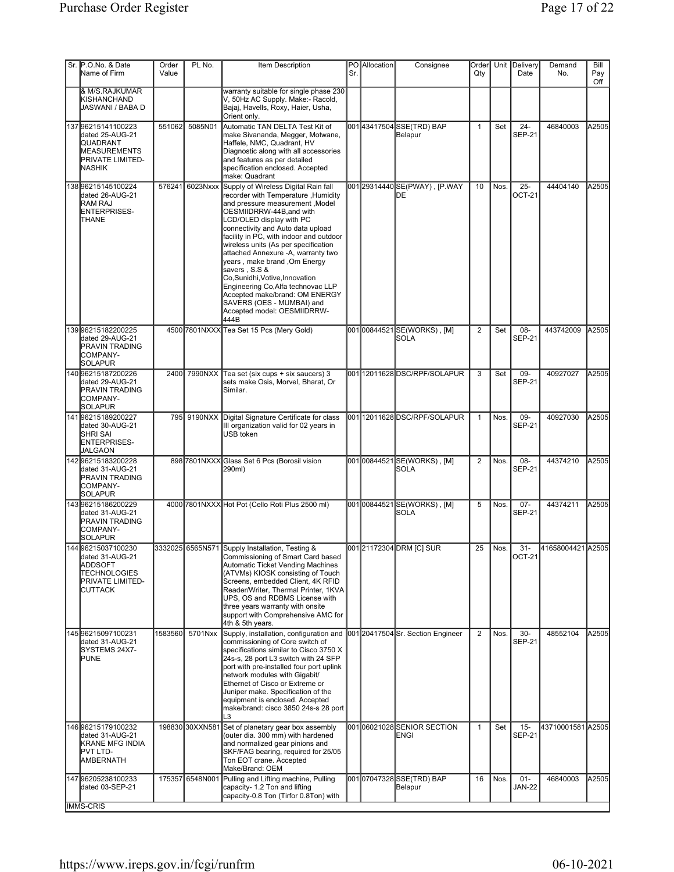| Sr. P.O.No. & Date<br>Name of Firm                                                                                           | Order<br>Value | PL No.          | Item Description                                                                                                                                                                                                                                                                                                                                                                                                                                                                                                                                                       | Sr. | PO Allocation | Consignee                                   | Order<br>Qty   |           | Unit Delivery<br>Date   | Demand<br>No.         | Bill<br>Pay<br>Off |
|------------------------------------------------------------------------------------------------------------------------------|----------------|-----------------|------------------------------------------------------------------------------------------------------------------------------------------------------------------------------------------------------------------------------------------------------------------------------------------------------------------------------------------------------------------------------------------------------------------------------------------------------------------------------------------------------------------------------------------------------------------------|-----|---------------|---------------------------------------------|----------------|-----------|-------------------------|-----------------------|--------------------|
| & M/S.RAJKUMAR<br>KISHANCHAND<br>JASWANI / BABA D                                                                            |                |                 | warranty suitable for single phase 230<br>V, 50Hz AC Supply. Make:- Racold,<br>Bajaj, Havells, Roxy, Haier, Usha,<br>Orient only.                                                                                                                                                                                                                                                                                                                                                                                                                                      |     |               |                                             |                |           |                         |                       |                    |
| 137 96215141100223<br>dated 25-AUG-21<br><b>QUADRANT</b><br>MEASUREMENTS<br><b>PRIVATE LIMITED-</b><br><b>I</b> NASHIK       | 551062         | 5085N01         | Automatic TAN DELTA Test Kit of<br>make Sivananda, Megger, Motwane,<br>Haffele, NMC, Quadrant, HV<br>Diagnostic along with all accessories<br>and features as per detailed<br>specification enclosed. Accepted<br>make: Quadrant                                                                                                                                                                                                                                                                                                                                       |     |               | 00143417504SSE(TRD) BAP<br>Belapur          | $\mathbf{1}$   | Set       | $24 -$<br><b>SEP-21</b> | 46840003              | A2505              |
| 138996215145100224<br>dated 26-AUG-21<br><b>RAM RAJ</b><br>ENTERPRISES-<br>THANE                                             |                | 576241 6023Nxxx | Supply of Wireless Digital Rain fall<br>recorder with Temperature , Humidity<br>and pressure measurement , Model<br>OESMIIDRRW-44B, and with<br>LCD/OLED display with PC<br>connectivity and Auto data upload<br>facility in PC, with indoor and outdoor<br>wireless units (As per specification<br>attached Annexure - A, warranty two<br>years , make brand , Om Energy<br>savers, S.S &<br>Co,Sunidhi,Votive,Innovation<br>Engineering Co, Alfa technovac LLP<br>Accepted make/brand: OM ENERGY<br>SAVERS (OES - MUMBAI) and<br>Accepted model: OESMIIDRRW-<br>444B |     |               | 00129314440SE(PWAY), [P.WAY<br>DЕ           | 10             | Nos.      | $25 -$<br><b>OCT-21</b> | 44404140              | A2505              |
| 139996215182200225<br>dated 29-AUG-21<br><b>PRAVIN TRADING</b><br>COMPANY-<br>SOLAPUR                                        |                |                 | 4500 7801NXXX Tea Set 15 Pcs (Mery Gold)                                                                                                                                                                                                                                                                                                                                                                                                                                                                                                                               |     |               | 00100844521SE(WORKS), [M]<br><b>SOLA</b>    | $\overline{2}$ | Set       | 08-<br><b>SEP-21</b>    | 443742009             | A2505              |
| 14096215187200226<br>dated 29-AUG-21<br><b>PRAVIN TRADING</b><br><b>COMPANY-</b><br><b>SOLAPUR</b>                           |                |                 | 2400 7990NXX Tea set (six cups + six saucers) 3<br>sets make Osis, Morvel, Bharat, Or<br>Similar.                                                                                                                                                                                                                                                                                                                                                                                                                                                                      |     |               | 001 12011628 DSC/RPF/SOLAPUR                | 3              | Set       | $09 -$<br><b>SEP-21</b> | 40927027              | A2505              |
| 14196215189200227<br>dated 30-AUG-21<br>Ishri sai<br>ENTERPRISES-<br><b>JALGAON</b>                                          |                | 795 9190NXX     | Digital Signature Certificate for class<br>III organization valid for 02 years in<br>USB token                                                                                                                                                                                                                                                                                                                                                                                                                                                                         |     |               | 00112011628DSC/RPF/SOLAPUR                  | $\mathbf{1}$   | Nos.      | $09 -$<br><b>SEP-21</b> | 40927030              | A2505              |
| 142 96215183200228<br>dated 31-AUG-21<br><b>PRAVIN TRADING</b><br>COMPANY-<br>SOLAPUR                                        |                |                 | 898 7801NXXX Glass Set 6 Pcs (Borosil vision<br>290ml)                                                                                                                                                                                                                                                                                                                                                                                                                                                                                                                 |     |               | 00100844521SE(WORKS), [M]<br><b>SOLA</b>    | $\overline{2}$ | Nos.      | 08-<br><b>SEP-21</b>    | 44374210              | A2505              |
| 14396215186200229<br>dated 31-AUG-21<br><b>PRAVIN TRADING</b><br>COMPANY-<br><b>SOLAPUR</b>                                  |                |                 | 4000 7801NXXX Hot Pot (Cello Roti Plus 2500 ml)                                                                                                                                                                                                                                                                                                                                                                                                                                                                                                                        |     |               | 001 00844521 SE(WORKS), [M]<br><b>ISOLA</b> | 5              | Nos.      | $07 -$<br><b>SEP-21</b> | 44374211              | A2505              |
| 144 96215037100230<br>dated 31-AUG-21<br><b>ADDSOFT</b><br><b>TECHNOLOGIES</b><br><b>PRIVATE LIMITED-</b><br><b>ICUTTACK</b> |                |                 | 3332025 6565N571 Supply Installation, Testing &<br>Commissioning of Smart Card based<br><b>Automatic Ticket Vending Machines</b><br>(ATVMs) KIOSK consisting of Touch<br>Screens, embedded Client, 4K RFID<br>Reader/Writer, Thermal Printer, 1KVA<br>UPS, OS and RDBMS License with<br>three years warranty with onsite<br>support with Comprehensive AMC for<br>4th & 5th years.                                                                                                                                                                                     |     |               | 001 21172304 DRM [C] SUR                    |                | $25$ Nos. | <b>OCT-21</b>           | 31- 41658004421 A2505 |                    |
| 14596215097100231<br>dated 31-AUG-21<br>SYSTEMS 24X7-<br>PUNE                                                                | 1583560        | 5701Nxx         | Supply, installation, configuration and<br>commissioning of Core switch of<br>specifications similar to Cisco 3750 X<br>24s-s, 28 port L3 switch with 24 SFP<br>port with pre-installed four port uplink<br>network modules with Gigabit/<br>Ethernet of Cisco or Extreme or<br>Juniper make. Specification of the<br>equipment is enclosed. Accepted<br>make/brand: cisco 3850 24s-s 28 port<br>L3                                                                                                                                                                    |     |               | 001 20417504 Sr. Section Engineer           | $\overline{2}$ | Nos.      | $30-$<br><b>SEP-21</b>  | 48552104              | A2505              |
| 146 96215179100232<br>dated 31-AUG-21<br>KRANE MFG INDIA<br><b>PVT LTD-</b><br>AMBERNATH                                     |                | 198830 30XXN581 | Set of planetary gear box assembly<br>(outer dia. 300 mm) with hardened<br>and normalized gear pinions and<br>SKF/FAG bearing, required for 25/05<br>Ton EOT crane. Accepted<br>Make/Brand: OEM                                                                                                                                                                                                                                                                                                                                                                        |     |               | 00106021028SENIOR SECTION<br>ENGI           | $\mathbf{1}$   | Set       | $15 -$<br><b>SEP-21</b> | 43710001581 A2505     |                    |
| 147 96205238100233<br>dated 03-SEP-21<br><b>IMMS-CRIS</b>                                                                    | 175357         | 6548N001        | Pulling and Lifting machine, Pulling<br>capacity- 1.2 Ton and lifting<br>capacity-0.8 Ton (Tirfor 0.8Ton) with                                                                                                                                                                                                                                                                                                                                                                                                                                                         |     |               | 00107047328SSE(TRD) BAP<br>Belapur          | 16             | Nos.      | $01 -$<br><b>JAN-22</b> | 46840003              | A2505              |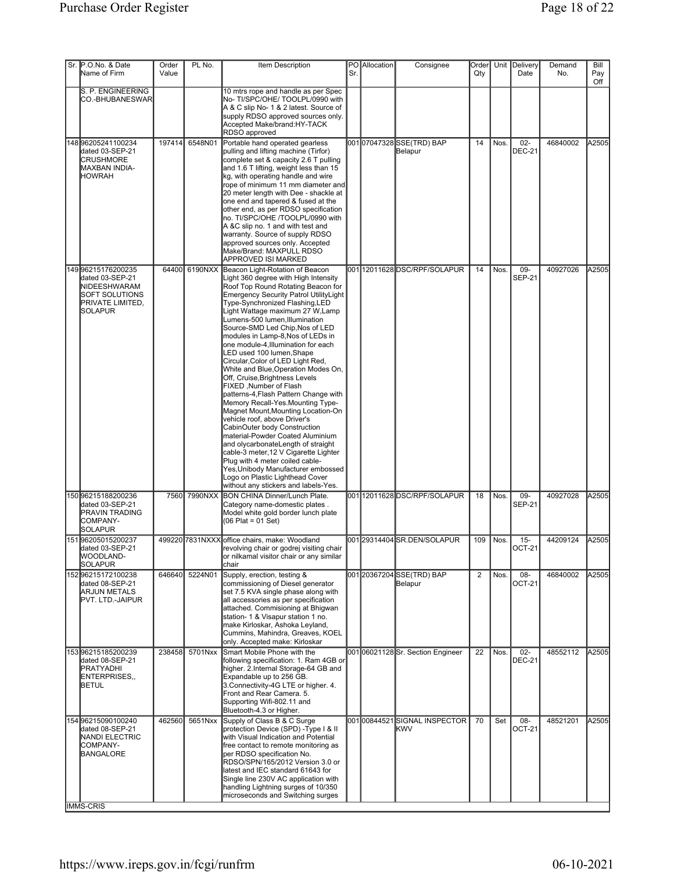| Sr. P.O.No. & Date<br>Name of Firm                                                                                   | Order<br>Value | PL No.       | Item Description                                                                                                                                                                                                                                                                                                                                                                                                                                                                                                                                                                                                                                                                                                                                                                                                                                                                                                                                                                                                | Sr. | PO Allocation | Consignee                                 | Order<br>Qty   |        | Unit Delivery<br>Date  | Demand<br>No. | Bill<br>Pay<br>Off |
|----------------------------------------------------------------------------------------------------------------------|----------------|--------------|-----------------------------------------------------------------------------------------------------------------------------------------------------------------------------------------------------------------------------------------------------------------------------------------------------------------------------------------------------------------------------------------------------------------------------------------------------------------------------------------------------------------------------------------------------------------------------------------------------------------------------------------------------------------------------------------------------------------------------------------------------------------------------------------------------------------------------------------------------------------------------------------------------------------------------------------------------------------------------------------------------------------|-----|---------------|-------------------------------------------|----------------|--------|------------------------|---------------|--------------------|
| S. P. ENGINEERING<br>CO.-BHUBANESWAR                                                                                 |                |              | 10 mtrs rope and handle as per Spec<br>No-TI/SPC/OHE/TOOLPL/0990 with<br>A & C slip No- 1 & 2 latest. Source of<br>supply RDSO approved sources only.<br>Accepted Make/brand:HY-TACK<br>RDSO approved                                                                                                                                                                                                                                                                                                                                                                                                                                                                                                                                                                                                                                                                                                                                                                                                           |     |               |                                           |                |        |                        |               |                    |
| 14896205241100234<br>dated 03-SEP-21<br><b>CRUSHMORE</b><br>MAXBAN INDIA-<br><b>IHOWRAH</b>                          | 197414         | 6548N01      | Portable hand operated gearless<br>pulling and lifting machine (Tirfor)<br>complete set & capacity 2.6 T pulling<br>and 1.6 T lifting, weight less than 15<br>kg, with operating handle and wire<br>rope of minimum 11 mm diameter and<br>20 meter length with Dee - shackle at<br>one end and tapered & fused at the<br>other end, as per RDSO specification<br>no. TI/SPC/OHE /TOOLPL/0990 with<br>A &C slip no. 1 and with test and<br>warranty. Source of supply RDSO<br>approved sources only. Accepted<br>Make/Brand: MAXPULL RDSO<br>APPROVED ISI MARKED                                                                                                                                                                                                                                                                                                                                                                                                                                                 |     |               | 00107047328SSE(TRD) BAP<br>Belapur        | 14             | Nos.   | $02-$<br><b>DEC-21</b> | 46840002      | A2505              |
| 149996215176200235<br>dated 03-SEP-21<br>NIDEESHWARAM<br>SOFT SOLUTIONS<br><b>PRIVATE LIMITED,</b><br><b>SOLAPUR</b> | 64400          | 6190NXX      | Beacon Light-Rotation of Beacon<br>Light 360 degree with High Intensity<br>Roof Top Round Rotating Beacon for<br>Emergency Security Patrol UtilityLight<br>Type-Synchronized Flashing, LED<br>Light Wattage maximum 27 W, Lamp<br>Lumens-500 lumen, Illumination<br>Source-SMD Led Chip, Nos of LED<br>modules in Lamp-8, Nos of LEDs in<br>one module-4, Illumination for each<br>LED used 100 lumen, Shape<br>Circular, Color of LED Light Red,<br>White and Blue, Operation Modes On,<br>Off, Cruise, Brightness Levels<br>FIXED, Number of Flash<br>patterns-4, Flash Pattern Change with<br>Memory Recall-Yes. Mounting Type-<br>Magnet Mount, Mounting Location-On<br>vehicle roof, above Driver's<br>CabinOuter body Construction<br>material-Powder Coated Aluminium<br>and olycarbonateLength of straight<br>cable-3 meter, 12 V Cigarette Lighter<br>Plug with 4 meter coiled cable-<br>Yes, Unibody Manufacturer embossed<br>Logo on Plastic Lighthead Cover<br>without any stickers and labels-Yes. |     |               | 00112011628DSC/RPF/SOLAPUR                | 14             | Nos.   | 09-<br><b>SEP-21</b>   | 40927026      | A2505              |
| 15096215188200236<br>dated 03-SEP-21<br><b>PRAVIN TRADING</b><br>COMPANY-<br>SOLAPUR                                 |                | 7560 7990NXX | <b>BON CHINA Dinner/Lunch Plate.</b><br>Category name-domestic plates.<br>Model white gold border lunch plate<br>$(06$ Plat = 01 Set)                                                                                                                                                                                                                                                                                                                                                                                                                                                                                                                                                                                                                                                                                                                                                                                                                                                                           |     |               | 00112011628DSC/RPF/SOLAPUR                | 18             | Nos.   | 09-<br><b>SEP-21</b>   | 40927028      | A2505              |
| 15196205015200237<br>dated 03-SEP-21<br><b>WOODLAND-</b><br>SOLAPUR                                                  |                |              | 499220 7831NXXX office chairs, make: Woodland<br>revolving chair or godrej visiting chair<br>or nilkamal visitor chair or any similar<br>chair                                                                                                                                                                                                                                                                                                                                                                                                                                                                                                                                                                                                                                                                                                                                                                                                                                                                  |     |               | 001 29314404 SR.DEN/SOLAPUR               | 109            | l Nos. | $15 -$<br>$ OCT-21 $   | 44209124      | A2505              |
| 152 96215172100238<br>dated 08-SEP-21<br><b>ARJUN METALS</b><br>PVT. LTD.-JAIPUR                                     | 646640         | 5224N01      | Supply, erection, testing &<br>commissioning of Diesel generator<br>set 7.5 KVA single phase along with<br>all accessories as per specification<br>attached. Commisioning at Bhigwan<br>station- 1 & Visapur station 1 no.<br>make Kirloskar, Ashoka Leyland,<br>Cummins, Mahindra, Greaves, KOEL<br>only. Accepted make: Kirloskar                                                                                                                                                                                                                                                                                                                                                                                                                                                                                                                                                                                                                                                                             |     |               | 001 20367204 SSE(TRD) BAP<br>Belapur      | $\overline{2}$ | Nos.   | $08 -$<br>OCT-21       | 46840002      | A2505              |
| 15396215185200239<br>dated 08-SEP-21<br><b>PRATYADHI</b><br>ENTERPRISES,<br><b>BETUL</b>                             | 238458         | 5701Nxx      | Smart Mobile Phone with the<br>following specification: 1. Ram 4GB or<br>higher. 2.Internal Storage-64 GB and<br>Expandable up to 256 GB.<br>3. Connectivity-4G LTE or higher. 4.<br>Front and Rear Camera. 5.<br>Supporting Wifi-802.11 and<br>Bluetooth-4.3 or Higher.                                                                                                                                                                                                                                                                                                                                                                                                                                                                                                                                                                                                                                                                                                                                        |     |               | 00106021128Sr. Section Engineer           | 22             | Nos.   | $02-$<br><b>DEC-21</b> | 48552112      | A2505              |
| 154 96215090100240<br>dated 08-SEP-21<br>NANDI ELECTRIC<br>COMPANY-<br>BANGALORE<br><b>IMMS-CRIS</b>                 | 462560         | 5651Nxx      | Supply of Class B & C Surge<br>protection Device (SPD) - Type I & II<br>with Visual Indication and Potential<br>free contact to remote monitoring as<br>per RDSO specification No.<br>RDSO/SPN/165/2012 Version 3.0 or<br>latest and IEC standard 61643 for<br>Single line 230V AC application with<br>handling Lightning surges of 10/350<br>microseconds and Switching surges                                                                                                                                                                                                                                                                                                                                                                                                                                                                                                                                                                                                                                 |     |               | 00100844521SIGNAL INSPECTOR<br><b>KWV</b> | 70             | Set    | $08 -$<br>OCT-21       | 48521201      | A2505              |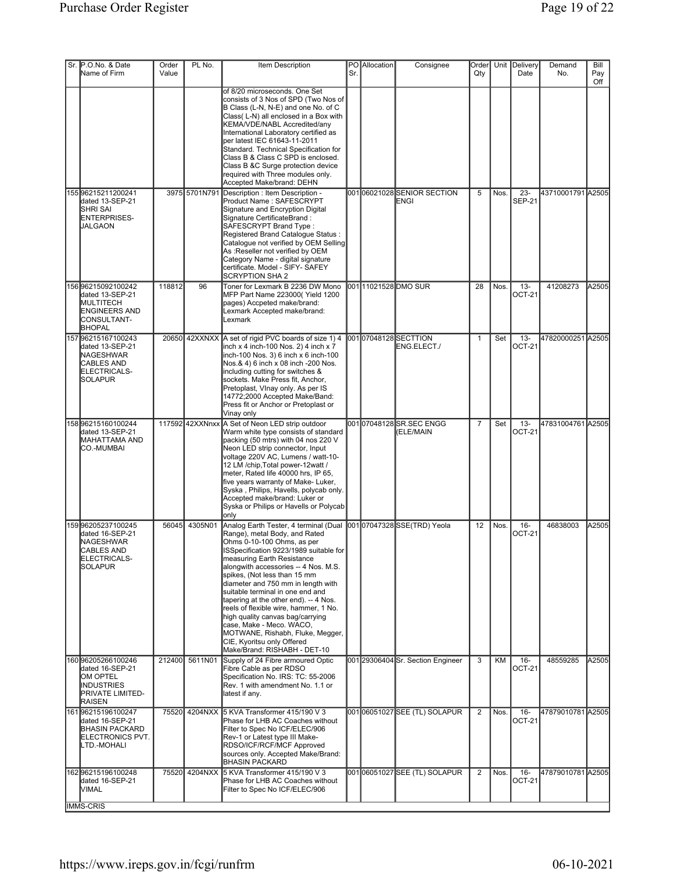| Sr. P.O.No. & Date                                                                                                 | Order  | PL No.          | Item Description                                                                                                                                                                                                                                                                                                                                                                                                                                                                                                                                                                   |     | PO Allocation | Consignee                                | Order           |      | Unit Delivery           | Demand            | Bill       |
|--------------------------------------------------------------------------------------------------------------------|--------|-----------------|------------------------------------------------------------------------------------------------------------------------------------------------------------------------------------------------------------------------------------------------------------------------------------------------------------------------------------------------------------------------------------------------------------------------------------------------------------------------------------------------------------------------------------------------------------------------------------|-----|---------------|------------------------------------------|-----------------|------|-------------------------|-------------------|------------|
| Name of Firm                                                                                                       | Value  |                 |                                                                                                                                                                                                                                                                                                                                                                                                                                                                                                                                                                                    | Sr. |               |                                          | Qty             |      | Date                    | No.               | Pay<br>Off |
|                                                                                                                    |        |                 | of 8/20 microseconds. One Set<br>consists of 3 Nos of SPD (Two Nos of<br>B Class (L-N, N-E) and one No. of C<br>Class(L-N) all enclosed in a Box with<br>KEMA/VDE/NABL Accredited/any<br>International Laboratory certified as<br>per latest IEC 61643-11-2011<br>Standard. Technical Specification for<br>Class B & Class C SPD is enclosed.<br>Class B &C Surge protection device<br>required with Three modules only.<br>Accepted Make/brand: DEHN                                                                                                                              |     |               |                                          |                 |      |                         |                   |            |
| 155 96215211200241<br>dated 13-SEP-21<br><b>SHRI SAI</b><br>ENTERPRISES-<br><b>JALGAON</b>                         |        | 3975 5701N791   | Description : Item Description -<br>Product Name: SAFESCRYPT<br>Signature and Encryption Digital<br>Signature CertificateBrand:<br>SAFESCRYPT Brand Type:<br>Registered Brand Catalogue Status :<br>Catalogue not verified by OEM Selling<br>As :Reseller not verified by OEM<br>Category Name - digital signature<br>certificate. Model - SIFY- SAFEY<br><b>SCRYPTION SHA 2</b>                                                                                                                                                                                                   |     |               | 00106021028SENIOR SECTION<br><b>ENGI</b> | 5               | Nos. | $23 -$<br><b>SEP-21</b> | 43710001791 A2505 |            |
| 156 96215092100242<br>dated 13-SEP-21<br>MULTITECH<br><b>ENGINEERS AND</b><br>CONSULTANT-<br><b>BHOPAL</b>         | 118812 | 96              | Toner for Lexmark B 2236 DW Mono<br>MFP Part Name 223000(Yield 1200<br>pages) Accpeted make/brand:<br>Lexmark Accepted make/brand:<br>Lexmark                                                                                                                                                                                                                                                                                                                                                                                                                                      |     |               | 00111021528 DMO SUR                      | 28              | Nos. | $13 -$<br><b>OCT-21</b> | 41208273          | A2505      |
| 15796215167100243<br>dated 13-SEP-21<br>NAGESHWAR<br><b>CABLES AND</b><br>ELECTRICALS-<br><b>SOLAPUR</b>           |        |                 | 20650 42XXNXX A set of rigid PVC boards of size 1) 4<br>inch x 4 inch-100 Nos. 2) 4 inch x 7<br>inch-100 Nos. 3) 6 inch x 6 inch-100<br>Nos.& 4) 6 inch x 08 inch -200 Nos.<br>including cutting for switches &<br>sockets. Make Press fit, Anchor,<br>Pretoplast, VInay only. As per IS<br>14772;2000 Accepted Make/Band:<br>Press fit or Anchor or Pretoplast or<br>Vinay only                                                                                                                                                                                                   |     |               | 00107048128SECTTION<br>ENG.ELECT./       | $\mathbf{1}$    | Set  | $13 -$<br>OCT-21        | 47820000251 A2505 |            |
| 158996215160100244<br>dated 13-SEP-21<br>MAHATTAMA AND<br>CO.-MUMBAI                                               |        | 117592 42XXNnxx | A Set of Neon LED strip outdoor<br>Warm white type consists of standard<br>packing (50 mtrs) with 04 nos 220 V<br>Neon LED strip connector, Input<br>voltage 220V AC, Lumens / watt-10-<br>12 LM /chip, Total power-12watt /<br>meter, Rated life 40000 hrs, IP 65,<br>five years warranty of Make-Luker,<br>Syska, Philips, Havells, polycab only.<br>Accepted make/brand: Luker or<br>Syska or Philips or Havells or Polycab<br>only                                                                                                                                             |     |               | 00107048128SR.SEC ENGG<br>(ELE/MAIN      | $\overline{7}$  | Set  | $13 -$<br>OCT-21        | 47831004761 A2505 |            |
| 159996205237100245<br>dated 16-SEP-21<br><b>NAGESHWAR</b><br>CABLES AND<br>ELECTRICALS-<br><b>SOLAPUR</b>          | 56045  | 4305N01         | Analog Earth Tester, 4 terminal (Dual<br>Range), metal Body, and Rated<br>Ohms 0-10-100 Ohms, as per<br>ISSpecification 9223/1989 suitable for<br>measuring Earth Resistance<br>alongwith accessories -- 4 Nos. M.S.<br>spikes, (Not less than 15 mm<br>diameter and 750 mm in length with<br>suitable terminal in one end and<br>tapering at the other end). -- 4 Nos.<br>reels of flexible wire, hammer, 1 No.<br>high quality canvas bag/carrying<br>case, Make - Meco. WACO,<br>MOTWANE, Rishabh, Fluke, Megger,<br>CIE, Kyoritsu only Offered<br>Make/Brand: RISHABH - DET-10 |     |               | 00107047328SSE(TRD) Yeola                | 12 <sup>2</sup> | Nos. | $16 -$<br>OCT-21        | 46838003          | A2505      |
| 160 96205266100246<br>dated 16-SEP-21<br>OM OPTEL<br><b>INDUSTRIES</b><br><b>PRIVATE LIMITED-</b><br><b>RAISEN</b> | 212400 | 5611N01         | Supply of 24 Fibre armoured Optic<br>Fibre Cable as per RDSO<br>Specification No. IRS: TC: 55-2006<br>Rev. 1 with amendment No. 1.1 or<br>latest if any.                                                                                                                                                                                                                                                                                                                                                                                                                           |     |               | 001 29306404 Sr. Section Engineer        | 3               | KM   | $16 -$<br><b>OCT-21</b> | 48559285          | A2505      |
| 161 96215196100247<br>dated 16-SEP-21<br><b>BHASIN PACKARD</b><br>ELECTRONICS PVT.<br>LTD.-MOHALI                  |        |                 | 75520 4204NXX 5 KVA Transformer 415/190 V 3<br>Phase for LHB AC Coaches without<br>Filter to Spec No ICF/ELEC/906<br>Rev-1 or Latest type III Make-<br>RDSO/ICF/RCF/MCF Approved<br>sources only. Accepted Make/Brand:<br><b>BHASIN PACKARD</b>                                                                                                                                                                                                                                                                                                                                    |     |               | 00106051027SEE (TL) SOLAPUR              | $\overline{2}$  | Nos. | $16 -$<br>OCT-21        | 47879010781 A2505 |            |
| 16296215196100248<br>dated 16-SEP-21<br>MIMAL.                                                                     |        |                 | 75520 4204NXX 5 KVA Transformer 415/190 V 3<br>Phase for LHB AC Coaches without<br>Filter to Spec No ICF/ELEC/906                                                                                                                                                                                                                                                                                                                                                                                                                                                                  |     |               | 001 06051027 SEE (TL) SOLAPUR            | $\overline{2}$  | Nos. | $16 -$<br>OCT-21        | 47879010781 A2505 |            |
| <b>IMMS-CRIS</b>                                                                                                   |        |                 |                                                                                                                                                                                                                                                                                                                                                                                                                                                                                                                                                                                    |     |               |                                          |                 |      |                         |                   |            |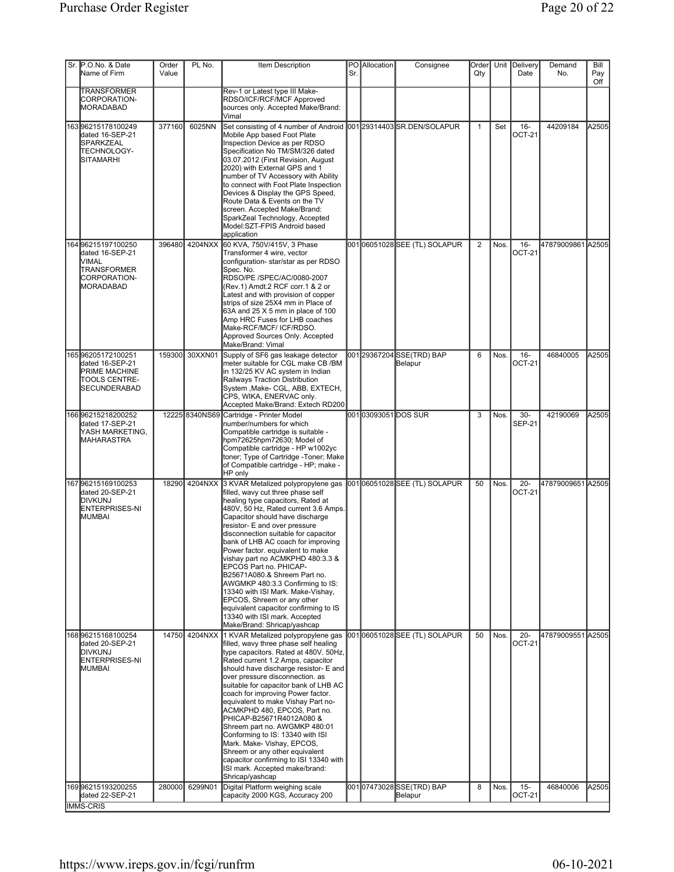| Sr. P.O.No. & Date<br>Name of Firm                                                                   | Order<br>Value | PL No.         | Item Description                                                                                                                                                                                                                                                                                                                                                                                                                                                                                                                                                                                                                                          | Sr. | PO Allocation              | Consignee                            | Order<br>Qty   |      | Unit Delivery<br>Date   | Demand<br>No.     | Bill<br>Pay<br>Off |
|------------------------------------------------------------------------------------------------------|----------------|----------------|-----------------------------------------------------------------------------------------------------------------------------------------------------------------------------------------------------------------------------------------------------------------------------------------------------------------------------------------------------------------------------------------------------------------------------------------------------------------------------------------------------------------------------------------------------------------------------------------------------------------------------------------------------------|-----|----------------------------|--------------------------------------|----------------|------|-------------------------|-------------------|--------------------|
| TRANSFORMER<br>CORPORATION-<br>MORADABAD                                                             |                |                | Rev-1 or Latest type III Make-<br>RDSO/ICF/RCF/MCF Approved<br>sources only. Accepted Make/Brand:<br>Vimal                                                                                                                                                                                                                                                                                                                                                                                                                                                                                                                                                |     |                            |                                      |                |      |                         |                   |                    |
| 16396215178100249<br>dated 16-SEP-21<br><b>SPARKZEAL</b><br>TECHNOLOGY-<br><b>SITAMARHI</b>          | 377160         | 6025NN         | Set consisting of 4 number of Android<br>Mobile App based Foot Plate<br>Inspection Device as per RDSO<br>Specification No TM/SM/326 dated<br>03.07.2012 (First Revision, August<br>2020) with External GPS and 1<br>number of TV Accessory with Ability<br>to connect with Foot Plate Inspection<br>Devices & Display the GPS Speed,<br>Route Data & Events on the TV<br>screen. Accepted Make/Brand:<br>SparkZeal Technology, Accepted<br>Model:SZT-FPIS Android based<br>application                                                                                                                                                                    |     |                            | 00129314403 SR.DEN/SOLAPUR           | $\mathbf{1}$   | Set  | $16 -$<br><b>OCT-21</b> | 44209184          | A2505              |
| 164 96215197100250<br>dated 16-SEP-21<br>IVIMAL<br>TRANSFORMER<br>CORPORATION-<br>MORADABAD          | 396480         | 4204NXX        | 60 KVA, 750V/415V, 3 Phase<br>Transformer 4 wire, vector<br>configuration- star/star as per RDSO<br>Spec. No.<br>RDSO/PE /SPEC/AC/0080-2007<br>(Rev.1) Amdt.2 RCF corr.1 & 2 or<br>Latest and with provision of copper<br>strips of size 25X4 mm in Place of<br>63A and 25 X 5 mm in place of 100<br>Amp HRC Fuses for LHB coaches<br>Make-RCF/MCF/ICF/RDSO.<br>Approved Sources Only. Accepted<br>Make/Brand: Vimal                                                                                                                                                                                                                                      |     |                            | 00106051028SEE (TL) SOLAPUR          | $\overline{2}$ | Nos. | $16 -$<br>OCT-21        | 47879009861 A2505 |                    |
| 16596205172100251<br>dated 16-SEP-21<br><b>PRIME MACHINE</b><br>TOOLS CENTRE-<br><b>SECUNDERABAD</b> | 159300         | 30XXN01        | Supply of SF6 gas leakage detector<br>meter suitable for CGL make CB /BM<br>in 132/25 KV AC system in Indian<br>Railways Traction Distribution<br>System , Make- CGL, ABB, EXTECH,<br>CPS, WIKA, ENERVAC only.<br>Accepted Make/Brand: Extech RD200                                                                                                                                                                                                                                                                                                                                                                                                       |     |                            | 001 29367204 SSE(TRD) BAP<br>Belapur | 6              | Nos. | $16 -$<br><b>OCT-21</b> | 46840005          | A2505              |
| 166 96215218200252<br>dated 17-SEP-21<br>YASH MARKETING,<br><b>MAHARASTRA</b>                        |                | 12225 8340NS69 | Cartridge - Printer Model<br>number/numbers for which<br>Compatible cartridge is suitable -<br>hpm72625hpm72630; Model of<br>Compatible cartridge - HP w1002yc<br>toner; Type of Cartridge -Toner; Make<br>of Compatible cartridge - HP; make -<br>HP only                                                                                                                                                                                                                                                                                                                                                                                                |     | 001 <b>03093051DOS</b> SUR |                                      | 3              | Nos. | $30 -$<br><b>SEP-21</b> | 42190069          | A2505              |
| 16796215169100253<br>dated 20-SEP-21<br>DIVKUNJ<br>ENTERPRISES-NI<br><b>MUMBAI</b>                   |                | 18290 4204NXX  | 3 KVAR Metalized polypropylene gas<br>filled, wavy cut three phase self<br>healing type capacitors, Rated at<br>480V, 50 Hz, Rated current 3.6 Amps.<br>Capacitor should have discharge<br>resistor- E and over pressure<br>disconnection suitable for capacitor<br>bank of LHB AC coach for improving<br>Power factor. equivalent to make<br>vishay part no ACMKPHD 480:3.3 &<br>EPCOS Part no. PHICAP-<br>B25671A080.& Shreem Part no.<br>AWGMKP 480:3.3 Confirming to IS:<br>13340 with ISI Mark. Make-Vishay,<br>EPCOS, Shreem or any other<br>equivalent capacitor confirming to IS<br>13340 with ISI mark. Accepted<br>Make/Brand: Shricap/yashcap  |     |                            | 00106051028SEE (TL) SOLAPUR          | 50             | Nos. | $20 -$<br><b>OCT-21</b> | 47879009651 A2505 |                    |
| 168 96215168100254<br>dated 20-SEP-21<br><b>IDIVKUNJ</b><br>ENTERPRISES-NI<br>MUMBAI                 |                | 14750 4204NXX  | 1 KVAR Metalized polypropylene gas<br>filled, wavy three phase self healing<br>type capacitors. Rated at 480V. 50Hz,<br>Rated current 1.2 Amps, capacitor<br>should have discharge resistor- E and<br>over pressure disconnection. as<br>suitable for capacitor bank of LHB AC<br>coach for improving Power factor.<br>equivalent to make Vishay Part no-<br>ACMKPHD 480, EPCOS, Part no.<br>PHICAP-B25671R4012A080 &<br>Shreem part no. AWGMKP 480:01<br>Conforming to IS: 13340 with ISI<br>Mark. Make- Vishay, EPCOS,<br>Shreem or any other equivalent<br>capacitor confirming to ISI 13340 with<br>ISI mark. Accepted make/brand:<br>Shricap/yashcap |     |                            | 00106051028SEE (TL) SOLAPUR          | 50             | Nos. | $20 -$<br><b>OCT-21</b> | 47879009551 A2505 |                    |
| 169996215193200255<br>dated 22-SEP-21<br><b>IMMS-CRIS</b>                                            | 280000         | 6299N01        | Digital Platform weighing scale<br>capacity 2000 KGS, Accuracy 200                                                                                                                                                                                                                                                                                                                                                                                                                                                                                                                                                                                        |     |                            | 00107473028SSE(TRD) BAP<br>Belapur   | 8              | Nos. | $15 -$<br><b>OCT-21</b> | 46840006          | A2505              |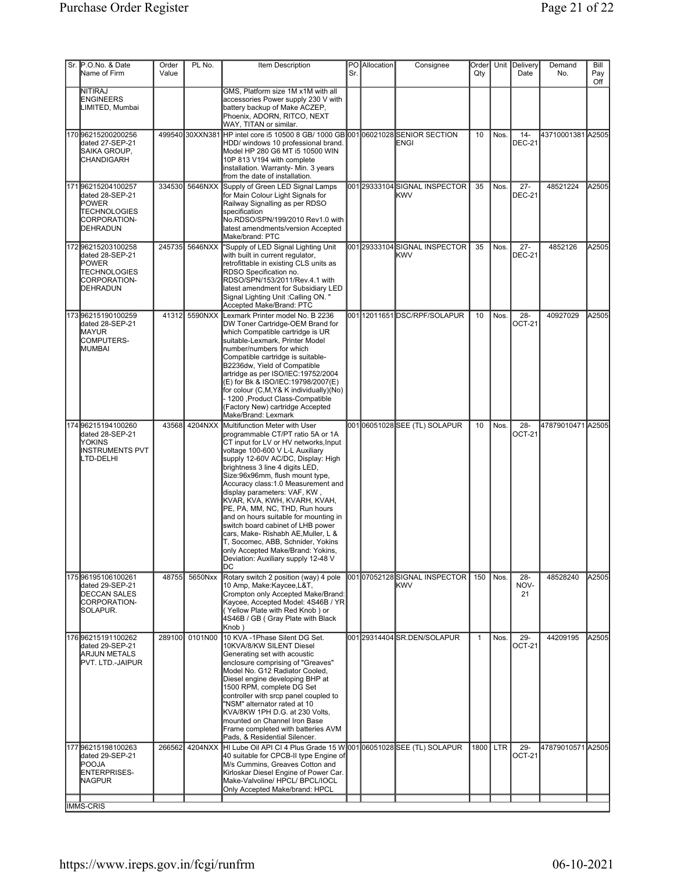| Sr. P.O.No. & Date<br>Name of Firm                                                                      | Order<br>Value | PL No.         | Item Description                                                                                                                                                                                                                                                                                                                                                                                                                                                                                                                                                                                                                                | Sr. | PO Allocation | Consignee                                    | Order<br>Qty |        | Unit Delivery<br>Date   | Demand<br>No.     | Bill<br>Pay<br>Off |
|---------------------------------------------------------------------------------------------------------|----------------|----------------|-------------------------------------------------------------------------------------------------------------------------------------------------------------------------------------------------------------------------------------------------------------------------------------------------------------------------------------------------------------------------------------------------------------------------------------------------------------------------------------------------------------------------------------------------------------------------------------------------------------------------------------------------|-----|---------------|----------------------------------------------|--------------|--------|-------------------------|-------------------|--------------------|
| NITIRAJ<br><b>ENGINEERS</b><br>LIMITED, Mumbai                                                          |                |                | GMS, Platform size 1M x1M with all<br>accessories Power supply 230 V with<br>battery backup of Make ACZEP,<br>Phoenix, ADORN, RITCO, NEXT<br>WAY, TITAN or similar.                                                                                                                                                                                                                                                                                                                                                                                                                                                                             |     |               |                                              |              |        |                         |                   |                    |
| 17096215200200256<br>dated 27-SEP-21<br>SAIKA GROUP,<br><b>CHANDIGARH</b>                               |                |                | 499540 30XXN381 HP intel core i5 10500 8 GB/ 1000 GB 001 06021028 SENIOR SECTION<br>HDD/ windows 10 professional brand.<br>Model HP 280 G6 MT i5 10500 WIN<br>10P 813 V194 with complete<br>installation. Warranty- Min. 3 years<br>from the date of installation.                                                                                                                                                                                                                                                                                                                                                                              |     |               | ENGI                                         | 10           | Nos.   | $14 -$<br><b>DEC-21</b> | 43710001381 A2505 |                    |
| 17196215204100257<br>dated 28-SEP-21<br>POWER<br><b>TECHNOLOGIES</b><br>CORPORATION-<br>DEHRADUN        | 334530         | 5646NXX        | Supply of Green LED Signal Lamps<br>for Main Colour Light Signals for<br>Railway Signalling as per RDSO<br>specification<br>No.RDSO/SPN/199/2010 Rev1.0 with<br>latest amendments/version Accepted<br>Make/brand: PTC                                                                                                                                                                                                                                                                                                                                                                                                                           |     |               | 001 29333104 SIGNAL INSPECTOR<br><b>KWV</b>  | 35           | Nos.   | $27 -$<br><b>DEC-21</b> | 48521224          | A2505              |
| 17296215203100258<br>dated 28-SEP-21<br><b>POWER</b><br><b>TECHNOLOGIES</b><br>CORPORATION-<br>DEHRADUN | 245735         | 5646NXX        | "Supply of LED Signal Lighting Unit<br>with built in current regulator,<br>retrofittable in existing CLS units as<br>RDSO Specification no.<br>RDSO/SPN/153/2011/Rev.4.1 with<br>latest amendment for Subsidiary LED<br>Signal Lighting Unit : Calling ON. "<br>Accepted Make/Brand: PTC                                                                                                                                                                                                                                                                                                                                                        |     |               | 001 29333104 SIGNAL INSPECTOR<br><b>IKWV</b> | 35           | Nos.   | $27 -$<br><b>DEC-21</b> | 4852126           | A2505              |
| 17396215190100259<br>dated 28-SEP-21<br><b>MAYUR</b><br><b>COMPUTERS-</b><br><b>MUMBAI</b>              | 41312          | 5590NXX        | Lexmark Printer model No. B 2236<br>DW Toner Cartridge-OEM Brand for<br>which Compatible cartridge is UR<br>suitable-Lexmark, Printer Model<br>number/numbers for which<br>Compatible cartridge is suitable-<br>B2236dw, Yield of Compatible<br>artridge as per ISO/IEC:19752/2004<br>(E) for Bk & ISO/IEC:19798/2007(E)<br>for colour (C,M,Y& K individually)(No)<br>- 1200 , Product Class-Compatible<br>(Factory New) cartridge Accepted<br>Make/Brand: Lexmark                                                                                                                                                                              |     |               | 00112011651DSC/RPF/SOLAPUR                   | 10           | Nos.   | $28 -$<br>OCT-21        | 40927029          | A2505              |
| 174 96215194100260<br>dated 28-SEP-21<br>IYOKINS<br><b>INSTRUMENTS PVT</b><br>LTD-DELHI                 | 43568          | 4204NXX        | Multifunction Meter with User<br>programmable CT/PT ratio 5A or 1A<br>CT input for LV or HV networks, Input<br>voltage 100-600 V L-L Auxiliary<br>supply 12-60V AC/DC, Display: High<br>brightness 3 line 4 digits LED,<br>Size:96x96mm, flush mount type,<br>Accuracy class: 1.0 Measurement and<br>display parameters: VAF, KW,<br>KVAR, KVA, KWH, KVARH, KVAH,<br>PE, PA, MM, NC, THD, Run hours<br>and on hours suitable for mounting in<br>switch board cabinet of LHB power<br>cars, Make- Rishabh AE, Muller, L &<br>T, Socomec, ABB, Schnider, Yokins<br>only Accepted Make/Brand: Yokins,<br>Deviation: Auxiliary supply 12-48 V<br>DC |     |               | 00106051028SEE (TL) SOLAPUR                  | 10           | Nos.   | $28 -$<br><b>OCT-21</b> | 47879010471 A2505 |                    |
| 17596195106100261<br>dated 29-SEP-21<br><b>DECCAN SALES</b><br>CORPORATION-<br>SOLAPUR.                 | 48755          | 5650Nxx        | Rotary switch 2 position (way) 4 pole<br>10 Amp, Make:Kaycee,L&T,<br>Crompton only Accepted Make/Brand:<br>Kaycee, Accepted Model: 4S46B / YR<br>(Yellow Plate with Red Knob) or<br>4S46B / GB ( Gray Plate with Black<br>Knob)                                                                                                                                                                                                                                                                                                                                                                                                                 |     |               | 00107052128SIGNAL INSPECTOR<br><b>I</b> KWV  | 150          | l Nos. | $28 -$<br>NOV-<br>21    | 48528240          | A2505              |
| 17696215191100262<br>dated 29-SEP-21<br><b>ARJUN METALS</b><br>PVT. LTD.-JAIPUR                         | 289100         | 0101N00        | 10 KVA -1Phase Silent DG Set.<br>10KVA/8/KW SILENT Diesel<br>Generating set with acoustic<br>enclosure comprising of "Greaves"<br>Model No. G12 Radiator Cooled,<br>Diesel engine developing BHP at<br>1500 RPM, complete DG Set<br>controller with srcp panel coupled to<br>"NSM" alternator rated at 10<br>KVA/8KW 1PH D.G. at 230 Volts,<br>mounted on Channel Iron Base<br>Frame completed with batteries AVM<br>Pads, & Residential Silencer.                                                                                                                                                                                              |     |               | 001 29314404 SR.DEN/SOLAPUR                  | $\mathbf{1}$ | Nos.   | $29 -$<br>OCT-21        | 44209195          | A2505              |
| 17796215198100263<br>dated 29-SEP-21<br><b>POOJA</b><br>ENTERPRISES-<br><b>NAGPUR</b>                   |                | 266562 4204NXX | HI Lube Oil API CI 4 Plus Grade 15 W 001 06051028 SEE (TL) SOLAPUR<br>40 suitable for CPCB-II type Engine of<br>M/s Cummins, Greaves Cotton and<br>Kirloskar Diesel Engine of Power Car.<br>Make-Valvoline/ HPCL/ BPCL/IOCL<br>Only Accepted Make/brand: HPCL                                                                                                                                                                                                                                                                                                                                                                                   |     |               |                                              | 1800 LTR     |        | $29 -$<br><b>OCT-21</b> | 47879010571 A2505 |                    |
| <b>IMMS-CRIS</b>                                                                                        |                |                |                                                                                                                                                                                                                                                                                                                                                                                                                                                                                                                                                                                                                                                 |     |               |                                              |              |        |                         |                   |                    |